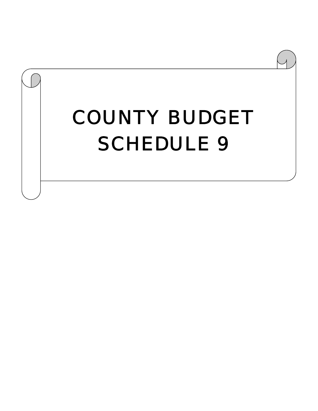# COUNTY BUDGET SCHEDULE 9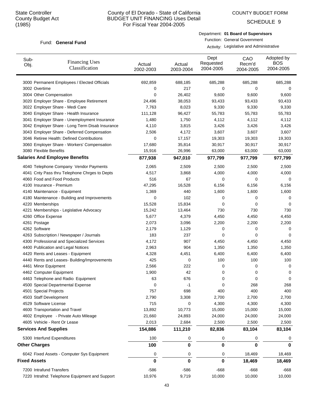COUNTY BUDGET FORM

SCHEDULE 9

### Fund: General Fund

Department: **01 Board of Supervisors** Function: General Government

| Sub-<br>Obj.                 | <b>Financing Uses</b><br>Classification         | Actual<br>2002-2003 | Actual<br>2003-2004 | Dept<br>Requested<br>2004-2005 | CAO<br>Recm'd<br>2004-2005 | Adopted by<br><b>BOS</b><br>2004-2005 |
|------------------------------|-------------------------------------------------|---------------------|---------------------|--------------------------------|----------------------------|---------------------------------------|
|                              | 3000 Permanent Employees / Elected Officials    | 692,859             | 688,185             | 685,288                        | 685,288                    | 685,288                               |
| 3002 Overtime                |                                                 | 0                   | 217                 | 0                              | 0                          | 0                                     |
| 3004 Other Compensation      |                                                 | 0                   | 26,402              | 9,600                          | 9,600                      | 9,600                                 |
|                              | 3020 Employer Share - Employee Retirement       | 24,496              | 38,053              | 93,433                         | 93,433                     | 93,433                                |
|                              | 3022 Employer Share - Medi Care                 | 7,763               | 8,023               | 9,330                          | 9,330                      | 9,330                                 |
|                              | 3040 Employer Share - Health Insurance          | 111,128             | 96,427              | 55,783                         | 55,783                     | 55,783                                |
|                              | 3041 Employer Share - Unemployment Insurance    | 1,480               | 1,750               | 4,112                          | 4,112                      | 4,112                                 |
|                              | 3042 Employer Share - Long Term Disab Insurance | 4,110               | 3,815               | 3,426                          | 3,426                      | 3,426                                 |
|                              | 3043 Employer Share - Deferred Compensation     | 2,506               | 4,172               | 3,607                          | 3,607                      | 3,607                                 |
|                              | 3046 Retiree Health: Defined Contributions      | 0                   | 17,157              | 19,303                         | 19,303                     | 19,303                                |
|                              | 3060 Employer Share - Workers' Compensation     | 17,680              | 35,814              | 30,917                         | 30,917                     | 30,917                                |
| 3080 Flexible Benefits       |                                                 | 15,916              | 26,996              | 63,000                         | 63,000                     | 63,000                                |
|                              | <b>Salaries And Employee Benefits</b>           | 877,938             | 947,010             | 977,799                        | 977,799                    | 977,799                               |
|                              | 4040 Telephone Company Vendor Payments          | 2,065               | 2,509               | 2,500                          | 2,500                      | 2,500                                 |
|                              | 4041 Cnty Pass thru Telephone Chrges to Depts   | 4,517               | 3,868               | 4,000                          | 4,000                      | 4,000                                 |
|                              | 4060 Food and Food Products                     | 516                 | 67                  | 0                              | $\mathbf 0$                | 0                                     |
| 4100 Insurance - Premium     |                                                 | 47,295              | 16,528              | 6,156                          | 6,156                      | 6,156                                 |
|                              | 4140 Maintenance - Equipment                    | 1,369               | 440                 | 1,600                          | 1,600                      | 1,600                                 |
|                              | 4180 Maintenance - Building and Improvements    | 0                   | 102                 | 0                              | 0                          | 0                                     |
| 4220 Memberships             |                                                 | 15,528              | 15,834              | 0                              | 0                          | 0                                     |
|                              | 4221 Memberships - Legislative Advocacy         | 15,242              | 13,464              | 730                            | 730                        | 730                                   |
| 4260 Office Expense          |                                                 | 5,677               | 4,379               | 4,450                          | 4,450                      | 4,450                                 |
| 4261 Postage                 |                                                 | 2,073               | 3,096               | 2,200                          | 2,200                      | 2,200                                 |
| 4262 Software                |                                                 | 2,179               | 1,129               | 0                              | 0                          | 0                                     |
|                              | 4263 Subscription / Newspaper / Journals        | 183                 | 237                 | 0                              | 0                          | 0                                     |
|                              | 4300 Professional and Specialized Services      | 4,172               | 907                 | 4,450                          | 4,450                      | 4,450                                 |
|                              | 4400 Publication and Legal Notices              | 2,963               | 904                 | 1,350                          | 1,350                      | 1,350                                 |
|                              | 4420 Rents and Leases - Equipment               | 4,328               | 4,451               | 6,400                          | 6,400                      | 6,400                                 |
|                              | 4440 Rents and Leases- Building/Improvements    | 425                 | 0                   | 100                            | 100                        | 100                                   |
| 4461 Minor Equipment         |                                                 | 2,566               | 222                 | 0                              | 0                          | 0                                     |
| 4462 Computer Equipment      |                                                 | 1,900               | 42                  | 0                              | 0                          | 0                                     |
|                              | 4463 Telephone and Radio Equipment              | 63                  | 676                 | 0                              | 0                          | 0                                     |
|                              | 4500 Special Departmental Expense               | 0                   | -1                  | 0                              | 268                        | 268                                   |
| 4501 Special Projects        |                                                 | 757                 | 698                 | 400                            | 400                        | 400                                   |
| 4503 Staff Development       |                                                 | 2,790               | 3,308               | 2,700                          | 2,700                      | 2,700                                 |
| 4529 Software License        |                                                 | 715                 | 0                   | 4,300                          | 4,300                      | 4,300                                 |
|                              | 4600 Transportation and Travel                  | 13,892              | 10,773              | 15,000                         | 15,000                     | 15,000                                |
|                              | 4602 Employee - Private Auto Mileage            | 21,660              | 24,893              | 24,000                         | 24,000                     | 24,000                                |
|                              | 4605 Vehicle - Rent Or Lease                    | 2,013               | 2,684               | 2,500                          | 2,500                      | 2,500                                 |
| <b>Services And Supplies</b> |                                                 | 154,886             | 111,210             | 82,836                         | 83,104                     | 83,104                                |
|                              | 5300 Interfund Expenditures                     | 100                 | 0                   | 0                              | 0                          | 0                                     |
| <b>Other Charges</b>         |                                                 | 100                 | 0                   | 0                              | 0                          | 0                                     |
|                              | 6042 Fixed Assets - Computer Sys Equipment      | 0                   | 0                   | 0                              | 18,469                     | 18,469                                |
| <b>Fixed Assets</b>          |                                                 | 0                   | $\bf{0}$            | $\bf{0}$                       | 18,469                     | 18,469                                |
| 7200 Intrafund Transfers     |                                                 | $-586$              | $-586$              | $-668$                         | $-668$                     | $-668$                                |
|                              | 7220 Intrafnd: Telephone Equipment and Support  | 10,976              | 9,719               | 10,000                         | 10,000                     | 10,000                                |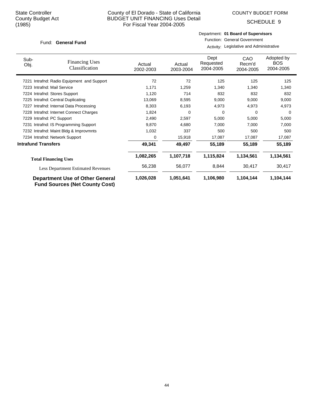COUNTY BUDGET FORM

SCHEDULE 9

### Fund: General Fund

Department: **01 Board of Supervisors** Function: General Government

| Sub-                       | <b>Financing Uses</b>                                                    |                     |                     | Dept<br>Requested | CAO                 | Adopted by<br><b>BOS</b> |
|----------------------------|--------------------------------------------------------------------------|---------------------|---------------------|-------------------|---------------------|--------------------------|
| Obj.                       | Classification                                                           | Actual<br>2002-2003 | Actual<br>2003-2004 | 2004-2005         | Recm'd<br>2004-2005 | 2004-2005                |
|                            |                                                                          |                     |                     |                   |                     |                          |
| 7221                       | Intrafnd: Radio Equipment and Support                                    | 72                  | 72                  | 125               | 125                 | 125                      |
|                            | 7223 Intrafnd: Mail Service                                              | 1,171               | 1,259               | 1,340             | 1,340               | 1,340                    |
|                            | 7224 Intrafnd: Stores Support                                            | 1,120               | 714                 | 832               | 832                 | 832                      |
|                            | 7225 Intrafnd: Central Duplicating                                       | 13,069              | 8,595               | 9,000             | 9,000               | 9,000                    |
|                            | 7227 Intrafnd: Internal Data Processing                                  | 8,303               | 6,193               | 4,973             | 4,973               | 4,973                    |
|                            | 7228 Intrafnd: Internet Connect Charges                                  | 1,824               | 0                   | 0                 | 0                   | 0                        |
|                            | 7229 Intrafnd: PC Support                                                | 2,490               | 2,597               | 5,000             | 5,000               | 5,000                    |
|                            | 7231 Intrafnd: IS Programming Support                                    | 9,870               | 4,680               | 7,000             | 7,000               | 7,000                    |
|                            | 7232 Intrafnd: Maint Bldg & Improvmnts                                   | 1,032               | 337                 | 500               | 500                 | 500                      |
|                            | 7234 Intrafnd: Network Support                                           | 0                   | 15,918              | 17,087            | 17,087              | 17,087                   |
| <b>Intrafund Transfers</b> |                                                                          | 49,341              | 49,497              | 55,189            | 55,189              | 55,189                   |
|                            | <b>Total Financing Uses</b>                                              | 1,082,265           | 1,107,718           | 1,115,824         | 1,134,561           | 1,134,561                |
|                            |                                                                          |                     |                     |                   |                     |                          |
|                            | <b>Less Department Estimated Revenues</b>                                | 56,238              | 56,077              | 8,844             | 30,417              | 30,417                   |
|                            | Department Use of Other General<br><b>Fund Sources (Net County Cost)</b> | 1,026,028           | 1,051,641           | 1,106,980         | 1,104,144           | 1,104,144                |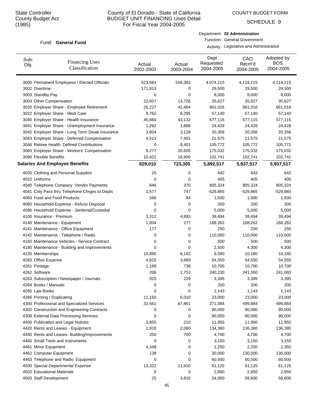COUNTY BUDGET FORM

SCHEDULE 9

### Fund: General Fund

Department: **02 Administration** Function: General Government

| Sub-<br>Obj. | <b>Financing Uses</b><br>Classification         | Actual<br>2002-2003 | Actual<br>2003-2004 | Dept<br>Requested<br>2004-2005 | CAO<br>Recm'd<br>2004-2005 | Adopted by<br><b>BOS</b><br>2004-2005 |
|--------------|-------------------------------------------------|---------------------|---------------------|--------------------------------|----------------------------|---------------------------------------|
|              | 3000 Permanent Employees / Elected Officials    | 523,564             | 556,383             | 4,074,215                      | 4,119,215                  | 4,119,215                             |
|              | 3002 Overtime                                   | 171,913             | 0                   | 29,500                         | 29,500                     | 29,500                                |
|              | 3003 Standby Pay                                | 0                   | 0                   | 8,000                          | 8,000                      | 8,000                                 |
|              | 3004 Other Compensation                         | 22,607              | 13,726              | 35,627                         | 35,627                     | 35,627                                |
|              | 3020 Employer Share - Employee Retirement       | 26,227              | 42,464              | 661,016                        | 661,016                    | 661,016                               |
|              | 3022 Employer Share - Medi Care                 | 9,762               | 8,295               | 57,140                         | 57,140                     | 57,140                                |
|              | 3040 Employer Share - Health Insurance          | 45,660              | 43,132              | 577,115                        | 577,115                    | 577,115                               |
|              | 3041 Employer Share - Unemployment Insurance    | 1,262               | 1,868               | 24,428                         | 24,428                     | 24,428                                |
|              | 3042 Employer Share - Long Term Disab Insurance | 3,804               | 3,128               | 20,356                         | 20,356                     | 20,356                                |
|              | 3043 Employer Share - Deferred Compensation     | 4,513               | 7,401               | 21,575                         | 21,575                     | 21,575                                |
|              | 3046 Retiree Health: Defined Contributions      | 0                   | 9,401               | 105,772                        | 105,772                    | 105,772                               |
|              | 3060 Employer Share - Workers' Compensation     | 9,277               | 20,605              | 175,032                        | 175,032                    | 175,032                               |
|              | 3080 Flexible Benefits                          | 10,421              | 16,900              | 102,741                        | 102,741                    | 102,741                               |
|              | <b>Salaries And Employee Benefits</b>           | 829,010             | 723,305             | 5,892,517                      | 5,937,517                  | 5,937,517                             |
|              | 4020 Clothing and Personal Supplies             | 25                  | 0                   | 642                            | 642                        | 642                                   |
|              | 4022 Uniforms                                   | 0                   | 0                   | 405                            | 405                        | 405                                   |
|              | 4040 Telephone Company Vendor Payments          | 646                 | 370                 | 805,324                        | 805,324                    | 805,324                               |
|              | 4041 Cnty Pass thru Telephone Chrges to Depts   | 1,577               | 747                 | $-529,865$                     | $-529,865$                 | -529,865                              |
|              | 4060 Food and Food Products                     | 566                 | 84                  | 1,500                          | 1,500                      | 1,500                                 |
|              | 4085 Household Expense - Refuse Disposal        | 0                   | 0                   | 200                            | 200                        | 200                                   |
|              | 4086 Household Expense - Janitorial/Custodial   | 0                   | 0                   | 5,000                          | 5,000                      | 5,000                                 |
|              | 4100 Insurance - Premium                        | 3,312               | 4,893               | 39,494                         | 39,494                     | 39,494                                |
|              | 4140 Maintenance - Equipment                    | 1,004               | 277                 | 168,262                        | 168,262                    | 168,262                               |
|              | 4141 Maintenance - Office Equipment             | 177                 | 0                   | 250                            | 250                        | 250                                   |
|              | 4142 Maintenance - Telephone / Radio            | 0                   | 0                   | 110,000                        | 110,000                    | 110,000                               |
|              | 4160 Maintenance Vehicles - Service Contract    | 0                   | 0                   | 500                            | 500                        | 500                                   |
|              | 4180 Maintenance - Building and Improvements    | 0                   | 0                   | 2,500                          | 4,300                      | 4,300                                 |
|              | 4220 Memberships                                | 10,890              | 6,182               | 9,580                          | 10,180                     | 10,180                                |
|              | 4260 Office Expense                             | 4,825               | 3,689               | 54,550                         | 54,550                     | 54,550                                |
|              | 4261 Postage                                    | 1,168               | 738                 | 10,700                         | 10,700                     | 10,700                                |
|              | 4262 Software                                   | 206                 | 1,753               | 240,230                        | 241,060                    | 241,060                               |
|              | 4263 Subscription / Newspaper / Journals        | 925                 | 229                 | 3,395                          | 3,395                      | 3,395                                 |
|              | 4264 Books / Manuals                            | 0                   | 0                   | 200                            | 200                        | 200                                   |
|              | 4265 Law Books                                  | 0                   | 0                   | 1,143                          | 1,143                      | 1,143                                 |
|              | 4266 Printing / Duplicating                     | 11,150              | 6,010               | 23,000                         | 23,000                     | 23,000                                |
|              | 4300 Professional and Specialized Services      | 32,561              | 67,861              | 271,384                        | 499,884                    | 499,884                               |
|              | 4302 Construction and Engineering Contracts     | 0                   | 0                   | 90,000                         | 90,000                     | 90,000                                |
|              | 4308 External Data Processing Services          | 0                   | 0                   | 90,000                         | 90,000                     | 90,000                                |
|              | 4400 Publication and Legal Notices              | 3,955               | 210                 | 11,950                         | 11,950                     | 11,950                                |
|              | 4420 Rents and Leases - Equipment               | 1,918               | 2,080               | 134,380                        | 136,380                    | 136,380                               |
|              | 4440 Rents and Leases- Building/Improvements    | 250                 | 700                 | 4,700                          | 4,700                      | 4,700                                 |
|              | 4460 Small Tools and Instruments                | 0                   | 0                   | 3,150                          | 3,150                      | 3,150                                 |
|              | 4461 Minor Equipment                            | 4,348               | 0                   | 1,250                          | 2,350                      | 2,350                                 |
|              | 4462 Computer Equipment                         | 138                 | 0                   | 30,000                         | 130,000                    | 130,000                               |
|              | 4463 Telephone and Radio Equipment              | 0                   | 0                   | 60,500                         | 60,500                     | 60,500                                |
|              | 4500 Special Departmental Expense               | 13,322              | 11,910              | 61,125                         | 61,125                     | 61,125                                |
|              | 4502 Educational Materials                      | 0                   | 0                   | 2,850                          | 2,850                      | 2,850                                 |
|              | 4503 Staff Development                          | 25                  | 3,815               | 54,000                         | 58,600                     | 58,600                                |
|              |                                                 |                     |                     |                                |                            |                                       |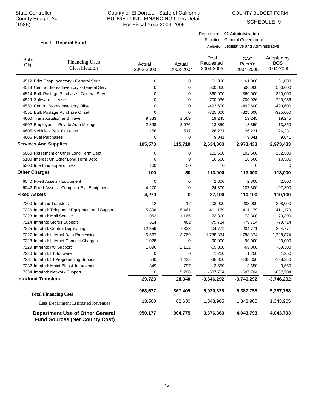COUNTY BUDGET FORM

SCHEDULE 9

### Fund: General Fund

| Department: 02 Administration       |
|-------------------------------------|
| <b>Function: General Government</b> |

| Sub-<br>Obj.                 | <b>Financing Uses</b><br>Classification                                  | Actual<br>2002-2003 | Actual<br>2003-2004 | Dept<br>Requested<br>2004-2005 | CAO<br>Recm'd<br>2004-2005 | Adopted by<br>BOS<br>2004-2005 |
|------------------------------|--------------------------------------------------------------------------|---------------------|---------------------|--------------------------------|----------------------------|--------------------------------|
|                              | 4512 Print Shop Inventory - General Serv                                 | $\mathbf 0$         | 0                   | 61,000                         | 61,000                     | 61,000                         |
|                              | 4513 Central Stores Inventory - General Serv                             | $\mathbf 0$         | 0                   | 500,000                        | 500,000                    | 500,000                        |
|                              | 4514 Bulk Postage Purchase - General Serv                                | $\mathbf 0$         | 0                   | 360,000                        | 360,000                    | 360,000                        |
| 4529 Software License        |                                                                          | $\mathbf 0$         | 0                   | 700,936                        | 700,936                    | 700,936                        |
|                              | 4550 Central Stores Inventory Offset                                     | $\mathbf 0$         | 0                   | $-493,600$                     | $-493,600$                 | -493,600                       |
|                              | 4551 Bulk Postage Purchase Offset                                        | 0                   | 0                   | $-325,000$                     | $-325,000$                 | $-325,000$                     |
|                              | 4600 Transportation and Travel                                           | 9,533               | 1,569               | 19,245                         | 19,245                     | 19,245                         |
|                              | 4602 Employee - Private Auto Mileage                                     | 2,898               | 2,076               | 13,850                         | 13,850                     | 13,850                         |
|                              | 4605 Vehicle - Rent Or Lease                                             | 156                 | 517                 | 26,231                         | 26,231                     | 26,231                         |
| 4606 Fuel Purchases          |                                                                          | $\mathbf 0$         | 0                   | 9,041                          | 9,041                      | 9,041                          |
| <b>Services And Supplies</b> |                                                                          | 105,573             | 115,710             | 2,634,003                      | 2,973,433                  | 2,973,433                      |
|                              | 5060 Retirement of Other Long Term Debt                                  | 0                   | 0                   | 102,500                        | 102,500                    | 102,500                        |
|                              | 5100 Interest On Other Long Term Debt                                    | $\mathbf 0$         | 0                   | 10,500                         | 10,500                     | 10,500                         |
|                              | 5300 Interfund Expenditures                                              | 100                 | 50                  | 0                              | 0                          | 0                              |
| <b>Other Charges</b>         |                                                                          | 100                 | 50                  | 113,000                        | 113,000                    | 113,000                        |
|                              | 6040 Fixed Assets - Equipment                                            | $\mathbf 0$         | 0                   | 2,800                          | 2,800                      | 2,800                          |
|                              | 6042 Fixed Assets - Computer Sys Equipment                               | 4,270               | 0                   | 24,300                         | 107,300                    | 107,300                        |
| <b>Fixed Assets</b>          |                                                                          | 4,270               | $\bf{0}$            | 27,100                         | 110,100                    | 110,100                        |
| 7200 Intrafund Transfers     |                                                                          | 12                  | 12                  | $-208,000$                     | $-208,000$                 | $-208,000$                     |
|                              | 7220 Intrafnd: Telephone Equipment and Support                           | 5,896               | 5,461               | -411,179                       | $-411,179$                 | $-411,179$                     |
|                              | 7223 Intrafnd: Mail Service                                              | 962                 | 1,165               | $-73,300$                      | $-73,300$                  | $-73,300$                      |
|                              | 7224 Intrafnd: Stores Support                                            | 614                 | 462                 | $-79,714$                      | $-79,714$                  | $-79,714$                      |
|                              | 7225 Intrafnd: Central Duplicating                                       | 12,359              | 7,328               | $-204,771$                     | $-204,771$                 | $-204,771$                     |
|                              | 7227 Intrafnd: Internal Data Processing                                  | 5,567               | 3,769               | $-1,788,874$                   | $-1,788,874$               | $-1,788,874$                   |
|                              | 7228 Intrafnd: Internet Connect Charges                                  | 1,028               | 0                   | $-90,000$                      | $-90,000$                  | $-90,000$                      |
|                              | 7229 Intrafnd: PC Support                                                | 1,896               | 2,132               | $-69,300$                      | $-69,300$                  | $-69,300$                      |
|                              | 7230 Intrafnd: IS Software                                               | 0                   | 0                   | 1,250                          | 1,250                      | 1,250                          |
|                              | 7231 Intrafnd: IS Programming Support                                    | 540                 | 1,425               | $-38,350$                      | $-138,350$                 | $-138,350$                     |
|                              | 7232 Intrafnd: Maint Bldg & Improvmnts                                   | 849                 | 797                 | 3,650                          | 3,650                      | 3,650                          |
|                              | 7234 Intrafnd: Network Support                                           | $\mathbf 0$         | 5,788               | $-687,704$                     | $-687,704$                 | $-687,704$                     |
| <b>Intrafund Transfers</b>   |                                                                          | 29,723              | 28,340              | $-3,646,292$                   | $-3,746,292$               | $-3,746,292$                   |
|                              | <b>Total Financing Uses</b>                                              | 968,677             | 867,405             | 5,020,328                      | 5,387,758                  | 5,387,758                      |
|                              | <b>Less Department Estimated Revenues</b>                                | 18,500              | 62,630              | 1,343,965                      | 1,343,965                  | 1,343,965                      |
|                              | Department Use of Other General<br><b>Fund Sources (Net County Cost)</b> | 950,177             | 804,775             | 3,676,363                      | 4,043,793                  | 4,043,793                      |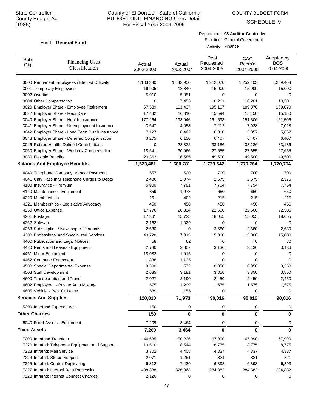# County of El Dorado - State of California BUDGET UNIT FINANCING Uses Detail For Fiscal Year 2004-2005

COUNTY BUDGET FORM

SCHEDULE 9

### Fund: General Fund

| ု၊ ၁၀၁)      |                                                 | FOI FISCAL YEAR ZUU4-ZUU5 |                                                                                        |                                |                            |                                       |  |  |
|--------------|-------------------------------------------------|---------------------------|----------------------------------------------------------------------------------------|--------------------------------|----------------------------|---------------------------------------|--|--|
|              | Fund: General Fund                              |                           | Department: 03 Auditor-Controller<br>Function: General Government<br>Activity: Finance |                                |                            |                                       |  |  |
| Sub-<br>Obj. | <b>Financing Uses</b><br>Classification         | Actual<br>2002-2003       | Actual<br>2003-2004                                                                    | Dept<br>Requested<br>2004-2005 | CAO<br>Recm'd<br>2004-2005 | Adopted by<br><b>BOS</b><br>2004-2005 |  |  |
|              | 3000 Permanent Employees / Elected Officials    | 1,183,330                 | 1,143,950                                                                              | 1,212,076                      | 1,259,403                  | 1,259,403                             |  |  |
|              | 3001 Temporary Employees                        | 19,905                    | 18,840                                                                                 | 15,000                         | 15,000                     | 15,000                                |  |  |
|              | 3002 Overtime                                   | 5,010                     | 5,851                                                                                  | 0                              | 0                          | $\mathbf 0$                           |  |  |
|              | 3004 Other Compensation                         | 0                         | 7,453                                                                                  | 10,201                         | 10,201                     | 10,201                                |  |  |
|              | 3020 Employer Share - Employee Retirement       | 67,589                    | 101,437                                                                                | 195,107                        | 189,870                    | 189,870                               |  |  |
|              | 3022 Employer Share - Medi Care                 | 17,432                    | 16,810                                                                                 | 15,594                         | 15,150                     | 15,150                                |  |  |
|              | 3040 Employer Share - Health Insurance          | 177,264                   | 193,946                                                                                | 161,593                        | 151,506                    | 151,506                               |  |  |
|              | 3041 Employer Share - Unemployment Insurance    | 3,647                     | 4,058                                                                                  | 7,212                          | 7,028                      | 7,028                                 |  |  |
|              | 3042 Employer Share - Long Term Disab Insurance | 7,127                     | 6,462                                                                                  | 6,010                          | 5,857                      | 5,857                                 |  |  |
|              | 3043 Employer Share - Deferred Compensation     | 3,275                     | 6,100                                                                                  | 6,407                          | 6,407                      | 6,407                                 |  |  |
|              | 3046 Retiree Health: Defined Contributions      | 0                         | 28,322                                                                                 | 33,186                         | 33,186                     | 33,186                                |  |  |
|              | 3060 Employer Share - Workers' Compensation     | 18,541                    | 30,966                                                                                 | 27,655                         | 27,655                     | 27,655                                |  |  |
|              | 3080 Flexible Benefits                          | 20,362                    | 16,585                                                                                 | 49,500                         | 49,500                     | 49,500                                |  |  |
|              | <b>Salaries And Employee Benefits</b>           | 1,523,481                 | 1,580,781                                                                              | 1,739,542                      | 1,770,764                  | 1,770,764                             |  |  |
|              | 4040 Telephone Company Vendor Payments          | 657                       | 530                                                                                    | 700                            | 700                        | 700                                   |  |  |
|              | 4041 Cnty Pass thru Telephone Chrges to Depts   | 2,486                     | 2,074                                                                                  | 2,575                          | 2,575                      | 2,575                                 |  |  |
|              | 4100 Insurance - Premium                        | 5,900                     | 7,781                                                                                  | 7,754                          | 7,754                      | 7,754                                 |  |  |
|              | 4140 Maintenance - Equipment                    | 359                       | 1,978                                                                                  | 650                            | 650                        | 650                                   |  |  |
|              | 4220 Memberships                                | 261                       | 402                                                                                    | 215                            | 215                        | 215                                   |  |  |
|              | 4221 Memberships - Legislative Advocacy         | 450                       | 450                                                                                    | 450                            | 450                        | 450                                   |  |  |
|              | 4260 Office Expense                             | 17,776                    | 20,824                                                                                 | 22,506                         | 22,506                     | 22,506                                |  |  |

| 4262 Software                                  | 2,168     | 1,029     | $\Omega$  | 0         | $\Omega$                           |
|------------------------------------------------|-----------|-----------|-----------|-----------|------------------------------------|
| 4263 Subscription / Newspaper / Journals       | 2,680     | 0         | 2,680     | 2,680     | 2,680                              |
| 4300 Professional and Specialized Services     | 40,728    | 7,815     | 15,000    | 15,000    | 15,000                             |
| 4400 Publication and Legal Notices             | 58        | 62        | 70        | 70        | 70                                 |
| 4420 Rents and Leases - Equipment              | 2,780     | 2,857     | 3,136     | 3,136     | 3,136                              |
| 4461 Minor Equipment                           | 18,082    | 1,915     | 0         | 0         | 0                                  |
| 4462 Computer Equipment                        | 1,838     | 1,135     | 0         | $\Omega$  | 0                                  |
| 4500 Special Departmental Expense              | 9,300     | 572       | 8,350     | 8,350     | 8,350                              |
| 4503 Staff Development                         | 2,685     | 3,181     | 3,850     | 3,850     | 3,850                              |
| 4600 Transportation and Travel                 | 2,027     | 2,190     | 2,450     | 2,450     | 2,450                              |
| 4602 Employee - Private Auto Mileage           | 675       | 1,299     | 1,575     | 1,575     | 1,575                              |
| 4605 Vehicle - Rent Or Lease                   | 539       | 155       | 0         | 0         | 0                                  |
| <b>Services And Supplies</b>                   | 128,810   | 71,973    | 90,016    | 90,016    | 90,016                             |
| 5300 Interfund Expenditures                    | 150       | 0         | 0         | 0         | 0                                  |
| <b>Other Charges</b>                           | 150       | $\bf{0}$  | $\bf{0}$  | 0         | 0                                  |
| 6040 Fixed Assets - Equipment                  | 7,209     | 3,464     | 0         | 0         | 0                                  |
| <b>Fixed Assets</b>                            | 7,209     | 3,464     | 0         | 0         | 0                                  |
| 7200 Intrafund Transfers                       | $-40,685$ | $-50,236$ | $-67,990$ | $-67,990$ | $-67,990$                          |
|                                                |           |           |           |           |                                    |
| 7220 Intrafnd: Telephone Equipment and Support | 10,510    | 8,544     | 8,775     | 8,775     |                                    |
| 7223 Intrafnd: Mail Service                    | 3,702     | 4,408     | 4,337     | 4,337     |                                    |
| 7224 Intrafnd: Stores Support                  | 2,071     | 1,251     | 821       | 821       | 821                                |
| 7225 Intrafnd: Central Duplicating             | 6,812     | 7,430     | 6,393     | 6,393     |                                    |
| 7227 Intrafnd: Internal Data Processing        | 408,338   | 326,363   | 284,882   | 284,882   | 8,775<br>4,337<br>6,393<br>284,882 |

4261 Postage 17,361 15,725 18,055 18,055 18,055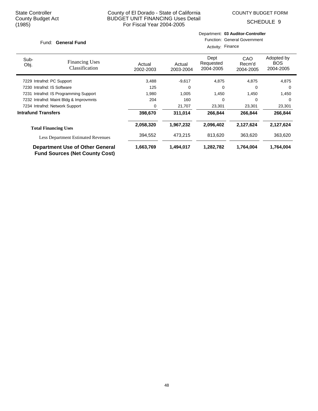COUNTY BUDGET FORM

Department: **03 Auditor-Controller**

SCHEDULE 9

| Fund: General Fund         |                                                                                 | Function: General Government<br>Activity: Finance |                     |                                |                            |                                       |
|----------------------------|---------------------------------------------------------------------------------|---------------------------------------------------|---------------------|--------------------------------|----------------------------|---------------------------------------|
| Sub-<br>Obj.               | <b>Financing Uses</b><br>Classification                                         | Actual<br>2002-2003                               | Actual<br>2003-2004 | Dept<br>Requested<br>2004-2005 | CAO<br>Recm'd<br>2004-2005 | Adopted by<br><b>BOS</b><br>2004-2005 |
|                            | 7229 Intrafnd: PC Support                                                       | 3,488                                             | $-9,617$            | 4,875                          | 4,875                      | 4,875                                 |
|                            | 7230 Intrafnd: IS Software                                                      | 125                                               | 0                   | 0                              | 0                          | 0                                     |
|                            | 7231 Intrafnd: IS Programming Support                                           | 1,980                                             | 1,005               | 1,450                          | 1,450                      | 1,450                                 |
|                            | 7232 Intrafnd: Maint Bldg & Improvmnts                                          | 204                                               | 160                 | 0                              | 0                          | 0                                     |
|                            | 7234 Intrafnd: Network Support                                                  | 0                                                 | 21,707              | 23,301                         | 23,301                     | 23,301                                |
| <b>Intrafund Transfers</b> |                                                                                 | 398,670                                           | 311,014             | 266,844                        | 266,844                    | 266,844                               |
|                            | <b>Total Financing Uses</b>                                                     | 2,058,320                                         | 1,967,232           | 2,096,402                      | 2,127,624                  | 2,127,624                             |
|                            | <b>Less Department Estimated Revenues</b>                                       | 394,552                                           | 473,215             | 813,620                        | 363,620                    | 363,620                               |
|                            | <b>Department Use of Other General</b><br><b>Fund Sources (Net County Cost)</b> | 1,663,769                                         | 1,494,017           | 1,282,782                      | 1,764,004                  | 1,764,004                             |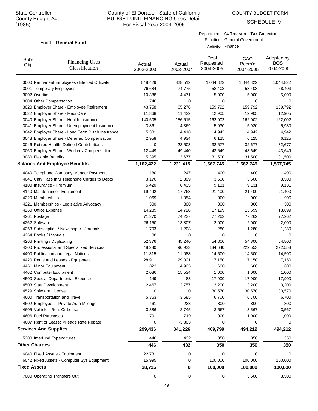Sub-Obj.

# County of El Dorado - State of California BUDGET UNIT FINANCING Uses Detail For Fiscal Year 2004-2005

Actual 2002-2003 COUNTY BUDGET FORM

SCHEDULE 9

### Fund: General Fund

Financing Uses Classification

| Adopted by<br>Dept<br>CAO<br>Requested<br><b>BOS</b><br>Recm'd<br>Actual |  | Activity: Finance | Department: 04 Treasurer-Tax Collector<br>Function: General Government |           |
|--------------------------------------------------------------------------|--|-------------------|------------------------------------------------------------------------|-----------|
| 2004-2005<br>2003-2004                                                   |  | 2004-2005         |                                                                        | 2004-2005 |

| 3000 Permanent Employees / Elected Officials    | 848,429   | 828,512   | 1,044,822   | 1,044,822 | 1,044,822 |
|-------------------------------------------------|-----------|-----------|-------------|-----------|-----------|
| 3001 Temporary Employees                        | 76,684    | 74,775    | 58,403      | 58,403    | 58,403    |
| 3002 Overtime                                   | 10,388    | 4,471     | 5,000       | 5,000     | 5,000     |
| 3004 Other Compensation                         | 746       | 0         | $\mathbf 0$ | 0         | 0         |
| 3020 Employer Share - Employee Retirement       | 43,758    | 65,278    | 159,792     | 159,792   | 159,792   |
| 3022 Employer Share - Medi Care                 | 11,868    | 11,422    | 12,905      | 12,905    | 12,905    |
| 3040 Employer Share - Health Insurance          | 140,505   | 156,615   | 162,002     | 162,002   | 162,002   |
| 3041 Employer Share - Unemployment Insurance    | 3,861     | 4,369     | 5,930       | 5,930     | 5,930     |
| 3042 Employer Share - Long Term Disab Insurance | 5,381     | 4,418     | 4,942       | 4,942     | 4,942     |
| 3043 Employer Share - Deferred Compensation     | 2,958     | 4,934     | 6,125       | 6,125     | 6,125     |
| 3046 Retiree Health: Defined Contributions      | 0         | 23,503    | 32,677      | 32,677    | 32,677    |
| 3060 Employer Share - Workers' Compensation     | 12,449    | 49,440    | 43,649      | 43,649    | 43,649    |
| 3080 Flexible Benefits                          | 5,395     | 3,677     | 31,500      | 31,500    | 31,500    |
| <b>Salaries And Employee Benefits</b>           | 1,162,422 | 1,231,415 | 1,567,745   | 1,567,745 | 1,567,745 |
| 4040 Telephone Company Vendor Payments          | 180       | 247       | 400         | 400       | 400       |
| 4041 Cnty Pass thru Telephone Chrges to Depts   | 3,170     | 2,399     | 3,500       | 3,500     | 3,500     |
| 4100 Insurance - Premium                        | 5,420     | 6,435     | 9,131       | 9,131     | 9,131     |
| 4140 Maintenance - Equipment                    | 19,492    | 17,763    | 21,400      | 21,400    | 21,400    |
| 4220 Memberships                                | 1,069     | 1,054     | 900         | 900       | 900       |
| 4221 Memberships - Legislative Advocacy         | 300       | 300       | 300         | 300       | 300       |
| 4260 Office Expense                             | 14,289    | 14,728    | 17,199      | 13,699    | 13,699    |
| 4261 Postage                                    | 71,270    | 74,237    | 77,262      | 77,262    | 77,262    |
| 4262 Software                                   | 26,150    | 13,807    | 2,000       | 2,000     | 2,000     |
| 4263 Subscription / Newspaper / Journals        | 1,703     | 1,208     | 1,280       | 1,280     | 1,280     |
| 4264 Books / Manuals                            | 38        | 0         | 0           | 0         | 0         |
| 4266 Printing / Duplicating                     | 52,376    | 45,240    | 54,800      | 54,800    | 54,800    |
| 4300 Professional and Specialized Services      | 48,230    | 96,923    | 134,640     | 222,553   | 222,553   |
| 4400 Publication and Legal Notices              | 11,315    | 11,088    | 14,500      | 14,500    | 14,500    |
| 4420 Rents and Leases - Equipment               | 28,911    | 29,021    | 7,150       | 7,150     | 7,150     |
| 4461 Minor Equipment                            | 823       | 4,925     | 600         | 600       | 600       |
| 4462 Computer Equipment                         | 2,086     | 15,534    | 1,000       | 1,000     | 1,000     |
| 4500 Special Departmental Expense               | 149       | 83        | 17,900      | 17,900    | 17,900    |
| 4503 Staff Development                          | 2,467     | 2,757     | 3,200       | 3,200     | 3,200     |
| 4529 Software License                           | 0         | 0         | 30,570      | 30,570    | 30,570    |
| 4600 Transportation and Travel                  | 5,363     | 3,585     | 6,700       | 6,700     | 6,700     |
| 4602 Employee - Private Auto Mileage            | 461       | 233       | 800         | 800       | 800       |
| 4605 Vehicle - Rent Or Lease                    | 3,386     | 2,745     | 3,567       | 3,567     | 3,567     |
| 4606 Fuel Purchases                             | 791       | 719       | 1,000       | 1,000     | 1,000     |
| 4607 Rent or Lease: Mileage Rate Rebate         | 0         | $-3,803$  | 0           | 0         | 0         |
| <b>Services And Supplies</b>                    | 299,436   | 341,226   | 409,799     | 494,212   | 494,212   |
| 5300 Interfund Expenditures                     | 446       | 432       | 350         | 350       | 350       |
| <b>Other Charges</b>                            | 446       | 432       | 350         | 350       | 350       |
| 6040 Fixed Assets - Equipment                   | 22,731    | 0         | 0           | 0         | 0         |
| 6042 Fixed Assets - Computer Sys Equipment      | 15,995    | 0         | 100,000     | 100,000   | 100,000   |
| <b>Fixed Assets</b>                             | 38,726    | $\bf{0}$  | 100,000     | 100,000   | 100,000   |
| 7000 Operating Transfers Out                    | 0         | 0         | 0           | 3,500     | 3,500     |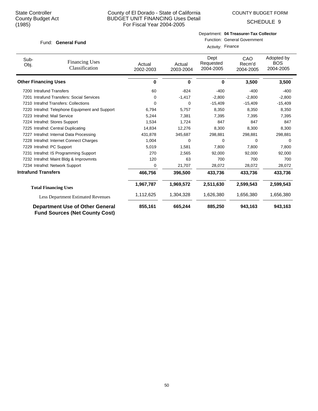COUNTY BUDGET FORM

SCHEDULE 9

### Fund: General Fund

Department: **04 Treasurer-Tax Collector**

Function: General Government Activity: Finance

| Sub-<br>Obj.                | <b>Financing Uses</b><br>Classification                                         | Actual<br>2002-2003 | Actual<br>2003-2004 | Dept<br>Requested<br>2004-2005 | CAO<br>Recm'd<br>2004-2005 | Adopted by<br><b>BOS</b><br>2004-2005 |
|-----------------------------|---------------------------------------------------------------------------------|---------------------|---------------------|--------------------------------|----------------------------|---------------------------------------|
| <b>Other Financing Uses</b> |                                                                                 | 0                   | 0                   | 0                              | 3,500                      | 3,500                                 |
| 7200 Intrafund Transfers    |                                                                                 | 60                  | $-824$              | $-400$                         | $-400$                     | $-400$                                |
|                             | 7201 Intrafund Transfers: Social Services                                       | 0                   | $-1,417$            | $-2,800$                       | $-2,800$                   | $-2,800$                              |
|                             | 7210 Intrafnd Transfers: Collections                                            | 0                   | 0                   | $-15,409$                      | $-15,409$                  | $-15,409$                             |
|                             | 7220 Intrafnd: Telephone Equipment and Support                                  | 6,794               | 5,757               | 8,350                          | 8,350                      | 8,350                                 |
|                             | 7223 Intrafnd: Mail Service                                                     | 5,244               | 7,381               | 7,395                          | 7,395                      | 7,395                                 |
|                             | 7224 Intrafnd: Stores Support                                                   | 1,534               | 1,724               | 847                            | 847                        | 847                                   |
|                             | 7225 Intrafnd: Central Duplicating                                              | 14,834              | 12,276              | 8,300                          | 8,300                      | 8,300                                 |
|                             | 7227 Intrafnd: Internal Data Processing                                         | 431,878             | 345,687             | 298,881                        | 298,881                    | 298,881                               |
|                             | 7228 Intrafnd: Internet Connect Charges                                         | 1,004               | 0                   | 0                              | <sup>0</sup>               | 0                                     |
| 7229 Intrafnd: PC Support   |                                                                                 | 5,019               | 1,581               | 7,800                          | 7,800                      | 7,800                                 |
|                             | 7231 Intrafnd: IS Programming Support                                           | 270                 | 2,565               | 92,000                         | 92,000                     | 92,000                                |
|                             | 7232 Intrafnd: Maint Bldg & Improvmnts                                          | 120                 | 63                  | 700                            | 700                        | 700                                   |
|                             | 7234 Intrafnd: Network Support                                                  | $\mathbf 0$         | 21,707              | 28,072                         | 28,072                     | 28,072                                |
| <b>Intrafund Transfers</b>  |                                                                                 | 466,756             | 396,500             | 433,736                        | 433,736                    | 433,736                               |
|                             | <b>Total Financing Uses</b>                                                     | 1,967,787           | 1,969,572           | 2,511,630                      | 2,599,543                  | 2,599,543                             |
|                             | <b>Less Department Estimated Revenues</b>                                       | 1,112,625           | 1,304,328           | 1,626,380                      | 1,656,380                  | 1,656,380                             |
|                             | <b>Department Use of Other General</b><br><b>Fund Sources (Net County Cost)</b> | 855,161             | 665,244             | 885,250                        | 943,163                    | 943,163                               |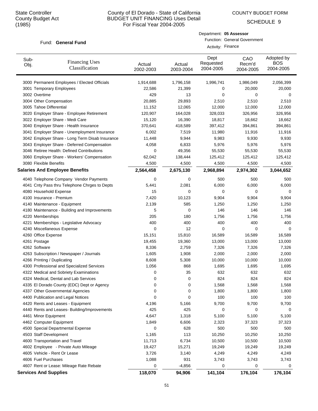COUNTY BUDGET FORM

Department: **05 Assessor**

Activity: Finance

Function: General Government

SCHEDULE 9

### Fund: General Fund

| Sub-<br><b>Financing Uses</b><br>Obj.<br>Classification                | Actual<br>2002-2003 | Actual<br>2003-2004 | Dept<br>Requested<br>2004-2005 | CAO<br>Recm'd<br>2004-2005 | Adopted by<br><b>BOS</b><br>2004-2005 |
|------------------------------------------------------------------------|---------------------|---------------------|--------------------------------|----------------------------|---------------------------------------|
| 3000 Permanent Employees / Elected Officials                           | 1,914,688           | 1,796,158           | 1,996,741                      | 1,986,049                  | 2,056,399                             |
| 3001 Temporary Employees                                               | 22,586              | 21,399              | 0                              | 20,000                     | 20,000                                |
| 3002 Overtime                                                          | 429                 | 13                  | 0                              | 0                          | 0                                     |
| 3004 Other Compensation                                                | 20,885              | 29,893              | 2,510                          | 2,510                      | 2,510                                 |
| 3005 Tahoe Differential                                                | 11,152              | 12,065              | 12,000                         | 12,000                     | 12,000                                |
| 3020 Employer Share - Employee Retirement                              | 120,907             | 164,028             | 328,033                        | 326,956                    | 326,956                               |
| 3022 Employer Share - Medi Care                                        | 15,120              | 16,390              | 18,817                         | 18,662                     | 18,662                                |
| 3040 Employer Share - Health Insurance                                 | 370,641             | 418,589             | 397,412                        | 394,861                    | 394,861                               |
| 3041 Employer Share - Unemployment Insurance                           | 6,002               | 7,519               | 11,980                         | 11,916                     | 11,916                                |
| 3042 Employer Share - Long Term Disab Insurance                        | 11,448              | 9,944               | 9,983                          | 9,930                      | 9,930                                 |
| 3043 Employer Share - Deferred Compensation                            | 4,058               | 6,833               | 5,976                          | 5,976                      | 5,976                                 |
| 3046 Retiree Health: Defined Contributions                             | 0                   | 49,356              | 55,530                         | 55,530                     | 55,530                                |
| 3060 Employer Share - Workers' Compensation                            | 62,042              | 138,444             | 125,412                        | 125,412                    | 125,412                               |
| 3080 Flexible Benefits                                                 | 4,500               | 4,500               | 4,500                          | 4,500                      | 4,500                                 |
| <b>Salaries And Employee Benefits</b>                                  | 2,564,458           | 2,675,130           | 2,968,894                      | 2,974,302                  | 3,044,652                             |
| 4040 Telephone Company Vendor Payments                                 | 0                   | 0                   | 500                            | 500                        | 500                                   |
| 4041 Cnty Pass thru Telephone Chrges to Depts                          | 5,441               | 2,081               | 6,000                          | 6,000                      | 6,000                                 |
| 4080 Household Expense                                                 | 15                  | 0                   | 0                              | 0                          | 0                                     |
| 4100 Insurance - Premium                                               | 7,420               | 10,123              | 9,904                          | 9,904                      | 9,904                                 |
| 4140 Maintenance - Equipment                                           | 2,139               | 585                 | 1,250                          | 1,250                      | 1,250                                 |
| 4180 Maintenance - Building and Improvements                           | 5                   | 0                   | 146                            | 146                        | 146                                   |
| 4220 Memberships                                                       | 205                 | 180                 | 1,756                          | 1,756                      | 1,756                                 |
| 4221 Memberships - Legislative Advocacy                                | 400                 | 400                 | 400                            | 400                        | 400                                   |
| 4240 Miscellaneous Expense                                             | 0                   | 12                  | 0                              | 0                          | 0                                     |
| 4260 Office Expense                                                    | 15,151              | 15,810              | 16,589                         | 16,589                     | 16,589                                |
| 4261 Postage                                                           | 19,455              | 19,360              | 13,000                         | 13,000                     | 13,000                                |
| 4262 Software                                                          | 8,336               | 2,759               | 7,326                          | 7,326                      | 7,326                                 |
| 4263 Subscription / Newspaper / Journals                               | 1,605               | 1,908               | 2,000                          | 2,000                      | 2,000                                 |
| 4266 Printing / Duplicating                                            | 8,608               | 5,308               | 10,000                         | 10,000                     | 10,000                                |
| 4300 Professional and Specialized Services                             | 1,056               | 868                 | 1,695                          | 1,695                      | 1,695                                 |
| 4322 Medical and Sobriety Examinations                                 | 0                   | 35                  | 632                            | 632                        | 632                                   |
| 4324 Medical, Dental and Lab Services                                  | 0                   | 0                   | 824                            | 824                        | 824                                   |
| 4335 El Dorado County (EDC) Dept or Agency                             | 0                   | 0                   | 1,568                          | 1,568                      | 1,568                                 |
| 4337 Other Governmental Agencies                                       | 0                   | 0                   | 1,800                          | 1,800                      | 1,800                                 |
| 4400 Publication and Legal Notices                                     | 0                   | 0                   | 100                            | 100                        | 100                                   |
| 4420 Rents and Leases - Equipment                                      | 4,196               | 5,166               | 9,700                          | 9,700                      | 9,700                                 |
| 4440 Rents and Leases- Building/Improvements                           | 425                 | 425                 | 0                              | 0                          | 0                                     |
| 4461 Minor Equipment                                                   | 4,647               | 1,318               | 5,100                          | 5,100                      | 5,100                                 |
| 4462 Computer Equipment                                                | 1,849               | 6,606               | 2,323                          | 37,323                     | 37,323                                |
| 4500 Special Departmental Expense<br>4503 Staff Development            | 0                   | 628                 | 500                            | 500                        | 500                                   |
|                                                                        | 1,165               | 113                 | 10,250                         | 10,250                     | 10,250                                |
| 4600 Transportation and Travel<br>4602 Employee - Private Auto Mileage | 11,713<br>19,427    | 6,734<br>15,271     | 10,500<br>19,249               | 10,500<br>19,249           | 10,500<br>19,249                      |
| 4605 Vehicle - Rent Or Lease                                           | 3,726               | 3,140               | 4,249                          | 4,249                      | 4,249                                 |
| 4606 Fuel Purchases                                                    | 1,088               | 931                 | 3,743                          | 3,743                      | 3,743                                 |
| 4607 Rent or Lease: Mileage Rate Rebate                                | 0                   | $-4,856$            | 0                              | 0                          | 0                                     |
| <b>Services And Supplies</b>                                           | 118,070             | 94,906              | 141,104                        | 176,104                    | 176,104                               |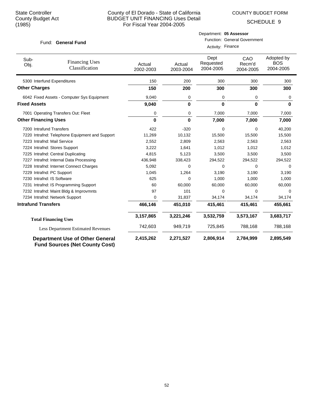COUNTY BUDGET FORM

Department: **05 Assessor**

SCHEDULE 9

| Fund: General Fund          |                                                                                 | <b>Function: General Government</b><br>Activity: Finance |                     |                                |                            |                                       |
|-----------------------------|---------------------------------------------------------------------------------|----------------------------------------------------------|---------------------|--------------------------------|----------------------------|---------------------------------------|
| Sub-<br>Obj.                | <b>Financing Uses</b><br>Classification                                         | Actual<br>2002-2003                                      | Actual<br>2003-2004 | Dept<br>Requested<br>2004-2005 | CAO<br>Recm'd<br>2004-2005 | Adopted by<br><b>BOS</b><br>2004-2005 |
| 5300 Interfund Expenditures |                                                                                 | 150                                                      | 200                 | 300                            | 300                        | 300                                   |
| <b>Other Charges</b>        |                                                                                 | 150                                                      | 200                 | 300                            | 300                        | 300                                   |
|                             | 6042 Fixed Assets - Computer Sys Equipment                                      | 9,040                                                    | $\mathbf 0$         | 0                              | 0                          | 0                                     |
| <b>Fixed Assets</b>         |                                                                                 | 9,040                                                    | 0                   | 0                              | $\bf{0}$                   | $\bf{0}$                              |
|                             | 7001 Operating Transfers Out: Fleet                                             | 0                                                        | $\mathbf 0$         | 7,000                          | 7,000                      | 7,000                                 |
| <b>Other Financing Uses</b> |                                                                                 | $\bf{0}$                                                 | 0                   | 7,000                          | 7,000                      | 7,000                                 |
| 7200 Intrafund Transfers    |                                                                                 | 422                                                      | $-320$              | $\mathbf 0$                    | 0                          | 40,200                                |
|                             | 7220 Intrafnd: Telephone Equipment and Support                                  | 11,269                                                   | 10,132              | 15,500                         | 15,500                     | 15,500                                |
| 7223 Intrafnd: Mail Service |                                                                                 | 2,552                                                    | 2,809               | 2,563                          | 2,563                      | 2,563                                 |
|                             | 7224 Intrafnd: Stores Support                                                   | 3,222                                                    | 1,641               | 1,012                          | 1,012                      | 1,012                                 |
|                             | 7225 Intrafnd: Central Duplicating                                              | 4,815                                                    | 5,123               | 3,500                          | 3,500                      | 3,500                                 |
|                             | 7227 Intrafnd: Internal Data Processing                                         | 436,948                                                  | 338,423             | 294,522                        | 294,522                    | 294,522                               |
|                             | 7228 Intrafnd: Internet Connect Charges                                         | 5,092                                                    | 0                   | 0                              | 0                          | 0                                     |
| 7229 Intrafnd: PC Support   |                                                                                 | 1,045                                                    | 1,264               | 3,190                          | 3,190                      | 3,190                                 |
| 7230 Intrafnd: IS Software  |                                                                                 | 625                                                      | $\mathbf 0$         | 1,000                          | 1,000                      | 1,000                                 |
|                             | 7231 Intrafnd: IS Programming Support                                           | 60                                                       | 60,000              | 60,000                         | 60,000                     | 60,000                                |
|                             | 7232 Intrafnd: Maint Bldg & Improvmnts                                          | 97                                                       | 101                 | $\Omega$                       | 0                          | $\Omega$                              |
|                             | 7234 Intrafnd: Network Support                                                  | $\Omega$                                                 | 31,837              | 34,174                         | 34,174                     | 34,174                                |
| <b>Intrafund Transfers</b>  |                                                                                 | 466,146                                                  | 451,010             | 415,461                        | 415,461                    | 455,661                               |
|                             | <b>Total Financing Uses</b>                                                     | 3,157,865                                                | 3,221,246           | 3,532,759                      | 3,573,167                  | 3,683,717                             |
|                             | <b>Less Department Estimated Revenues</b>                                       | 742,603                                                  | 949,719             | 725,845                        | 788,168                    | 788,168                               |
|                             | <b>Department Use of Other General</b><br><b>Fund Sources (Net County Cost)</b> | 2,415,262                                                | 2,271,527           | 2,806,914                      | 2,784,999                  | 2,895,549                             |

52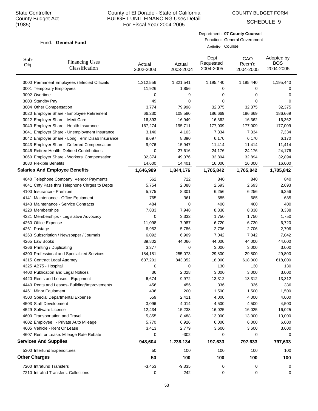Sub-Obj.

# County of El Dorado - State of California BUDGET UNIT FINANCING Uses Detail For Fiscal Year 2004-2005

Actual 2002-2003 COUNTY BUDGET FORM

SCHEDULE 9

### Fund: General Fund

Financing Uses Classification

|                     | Activity: Counsel              | Department: 07 County Counsel<br>Function: General Government |                                       |
|---------------------|--------------------------------|---------------------------------------------------------------|---------------------------------------|
| Actual<br>2003-2004 | Dept<br>Requested<br>2004-2005 | CAO<br>Recm'd<br>2004-2005                                    | Adopted by<br><b>BOS</b><br>2004-2005 |
| 1,321,541           | 1,195,440                      | 1,195,440                                                     | 1.195.440                             |

| 3000 Permanent Employees / Elected Officials    | 1,312,556 | 1,321,541 | 1,195,440 | 1,195,440 | 1,195,440 |
|-------------------------------------------------|-----------|-----------|-----------|-----------|-----------|
| 3001 Temporary Employees                        | 11,926    | 1,856     | 0         | 0         | 0         |
| 3002 Overtime                                   | 0         | 9         | 0         | 0         | 0         |
| 3003 Standby Pay                                | 49        | 0         | 0         | $\Omega$  | 0         |
| 3004 Other Compensation                         | 3,774     | 79,998    | 32,375    | 32,375    | 32,375    |
| 3020 Employer Share - Employee Retirement       | 66,230    | 108,580   | 186,669   | 186,669   | 186,669   |
| 3022 Employer Share - Medi Care                 | 16,393    | 16,949    | 16,362    | 16,362    | 16,362    |
| 3040 Employer Share - Health Insurance          | 167,274   | 195,711   | 177,009   | 177,009   | 177,009   |
| 3041 Employer Share - Unemployment Insurance    | 3,140     | 4,103     | 7,334     | 7,334     | 7,334     |
| 3042 Employer Share - Long Term Disab Insurance | 8,697     | 8,390     | 6,170     | 6,170     | 6,170     |
| 3043 Employer Share - Deferred Compensation     | 9,976     | 15,947    | 11,414    | 11,414    | 11,414    |
| 3046 Retiree Health: Defined Contributions      | 0         | 27,616    | 24,176    | 24,176    | 24,176    |
| 3060 Employer Share - Workers' Compensation     | 32,374    | 49,076    | 32,894    | 32,894    | 32,894    |
| 3080 Flexible Benefits                          | 14,600    | 14,401    | 16,000    | 16,000    | 16,000    |
| <b>Salaries And Employee Benefits</b>           | 1,646,989 | 1,844,176 | 1,705,842 | 1,705,842 | 1,705,842 |
| 4040 Telephone Company Vendor Payments          | 562       | 722       | 840       | 840       | 840       |
| 4041 Cnty Pass thru Telephone Chrges to Depts   | 5,754     | 2,088     | 2,693     | 2,693     | 2,693     |
| 4100 Insurance - Premium                        | 5,775     | 8,301     | 6,256     | 6,256     | 6,256     |
| 4141 Maintenance - Office Equipment             | 765       | 361       | 685       | 685       | 685       |
| 4143 Maintenance - Service Contracts            | 484       | 0         | 400       | 400       | 400       |
| 4220 Memberships                                | 7,833     | 7,948     | 8,338     | 8,338     | 8,338     |
| 4221 Memberships - Legislative Advocacy         | 0         | 3,332     | 1,750     | 1,750     | 1,750     |
| 4260 Office Expense                             | 11,098    | 7,987     | 6,720     | 6,720     | 6,720     |
| 4261 Postage                                    | 6,953     | 5,786     | 2,706     | 2,706     | 2,706     |
| 4263 Subscription / Newspaper / Journals        | 6,092     | 6,909     | 7,042     | 7,042     | 7,042     |
| 4265 Law Books                                  | 39,802    | 44,066    | 44,000    | 44,000    | 44,000    |
| 4266 Printing / Duplicating                     | 3,377     | 0         | 3,000     | 3,000     | 3,000     |
| 4300 Professional and Specialized Services      | 184,181   | 255,073   | 29,800    | 29,800    | 29,800    |
| 4315 Contract Legal Attorney                    | 637,201   | 843,352   | 18,000    | 618,000   | 618,000   |
| 4325 AB75 - Hospital                            | 0         | 0         | 130       | 130       | 130       |
| 4400 Publication and Legal Notices              | 36        | 2,028     | 3,000     | 3,000     | 3,000     |
| 4420 Rents and Leases - Equipment               | 6,674     | 9,972     | 13,312    | 13,312    | 13,312    |
| 4440 Rents and Leases- Building/Improvements    | 456       | 456       | 336       | 336       | 336       |
| 4461 Minor Equipment                            | 436       | 200       | 1,500     | 1,500     | 1,500     |
| 4500 Special Departmental Expense               | 559       | 2,411     | 4,000     | 4,000     | 4,000     |
| 4503 Staff Development                          | 3,096     | 4,014     | 4,500     | 4,500     | 4,500     |
| 4529 Software License                           | 12,434    | 15,238    | 16,025    | 16,025    | 16,025    |
| 4600 Transportation and Travel                  | 5,855     | 8,488     | 13,000    | 13,000    | 13,000    |
| 4602 Employee - Private Auto Mileage            | 5,770     | 6,926     | 6,000     | 6,000     | 6,000     |
| 4605 Vehicle - Rent Or Lease                    | 3,413     | 2,779     | 3,600     | 3,600     | 3,600     |
| 4607 Rent or Lease: Mileage Rate Rebate         | 0         | $-302$    | 0         | 0         | 0         |
| <b>Services And Supplies</b>                    | 948,604   | 1,238,134 | 197,633   | 797,633   | 797,633   |
| 5300 Interfund Expenditures                     | 50        | 100       | 100       | 100       | 100       |
| <b>Other Charges</b>                            | 50        | 100       | 100       | 100       | 100       |
| 7200 Intrafund Transfers                        | $-3,453$  | $-9,335$  | 0         | 0         | 0         |
| 7210 Intrafnd Transfers: Collections            | 0         | $-242$    | 0         | 0         | 0         |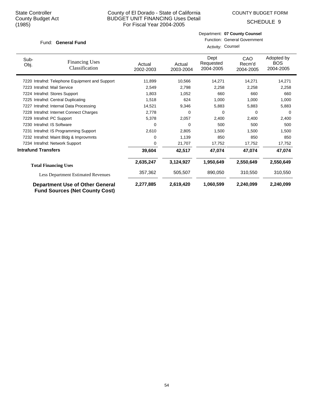COUNTY BUDGET FORM

Department: **07 County Counsel**

SCHEDULE 9

| <b>General Fund</b><br>Fund: |                                                                                 | <b>Function: General Government</b><br>Activity: Counsel |                     |                                |                            |                                       |
|------------------------------|---------------------------------------------------------------------------------|----------------------------------------------------------|---------------------|--------------------------------|----------------------------|---------------------------------------|
| Sub-<br>Obj.                 | <b>Financing Uses</b><br>Classification                                         | Actual<br>2002-2003                                      | Actual<br>2003-2004 | Dept<br>Requested<br>2004-2005 | CAO<br>Recm'd<br>2004-2005 | Adopted by<br><b>BOS</b><br>2004-2005 |
|                              | 7220 Intrafnd: Telephone Equipment and Support                                  | 11,899                                                   | 10,566              | 14,271                         | 14,271                     | 14,271                                |
|                              | 7223 Intrafnd: Mail Service                                                     | 2,549                                                    | 2,798               | 2,258                          | 2,258                      | 2,258                                 |
|                              | 7224 Intrafnd: Stores Support                                                   | 1,803                                                    | 1,052               | 660                            | 660                        | 660                                   |
|                              | 7225 Intrafnd: Central Duplicating                                              | 1,518                                                    | 624                 | 1,000                          | 1,000                      | 1,000                                 |
| 7227                         | Intrafnd: Internal Data Processing                                              | 14,521                                                   | 9,346               | 5,883                          | 5,883                      | 5,883                                 |
|                              | 7228 Intrafnd: Internet Connect Charges                                         | 2,778                                                    | 0                   | 0                              | 0                          | 0                                     |
| 7229                         | Intrafnd: PC Support                                                            | 5,378                                                    | 2,057               | 2,400                          | 2,400                      | 2,400                                 |
|                              | 7230 Intrafnd: IS Software                                                      | 0                                                        | 0                   | 500                            | 500                        | 500                                   |
|                              | 7231 Intrafnd: IS Programming Support                                           | 2,610                                                    | 2,805               | 1,500                          | 1,500                      | 1,500                                 |
|                              | 7232 Intrafnd: Maint Bldg & Improvmnts                                          | 0                                                        | 1,139               | 850                            | 850                        | 850                                   |
|                              | 7234 Intrafnd: Network Support                                                  | $\Omega$                                                 | 21,707              | 17,752                         | 17,752                     | 17,752                                |
| <b>Intrafund Transfers</b>   |                                                                                 | 39,604                                                   | 42,517              | 47,074                         | 47,074                     | 47,074                                |
|                              | <b>Total Financing Uses</b>                                                     | 2,635,247                                                | 3,124,927           | 1,950,649                      | 2,550,649                  | 2,550,649                             |
|                              | <b>Less Department Estimated Revenues</b>                                       | 357,362                                                  | 505,507             | 890,050                        | 310,550                    | 310,550                               |
|                              | <b>Department Use of Other General</b><br><b>Fund Sources (Net County Cost)</b> | 2,277,885                                                | 2,619,420           | 1,060,599                      | 2,240,099                  | 2,240,099                             |

54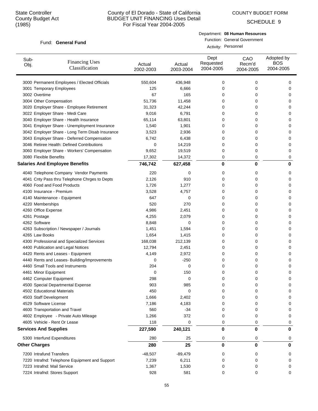COUNTY BUDGET FORM

SCHEDULE 9

### Fund: General Fund

Department: **08 Human Resources** Function: General Government

Activity: Personnel

| Sub-<br>Obj.         | <b>Financing Uses</b><br>Classification         | Actual<br>2002-2003 | Actual<br>2003-2004 | Dept<br>Requested<br>2004-2005 | CAO<br>Recm'd<br>2004-2005 | Adopted by<br><b>BOS</b><br>2004-2005 |
|----------------------|-------------------------------------------------|---------------------|---------------------|--------------------------------|----------------------------|---------------------------------------|
|                      | 3000 Permanent Employees / Elected Officials    | 550,604             | 436,948             | 0                              | 0                          | 0                                     |
|                      | 3001 Temporary Employees                        | 125                 | 6,666               | 0                              | 0                          | 0                                     |
|                      | 3002 Overtime                                   | 67                  | 165                 | 0                              | 0                          | 0                                     |
|                      | 3004 Other Compensation                         | 51,736              | 11,458              | 0                              | 0                          | 0                                     |
|                      | 3020 Employer Share - Employee Retirement       | 31,323              | 42,244              | 0                              | 0                          | 0                                     |
|                      | 3022 Employer Share - Medi Care                 | 9,016               | 6,791               | 0                              | 0                          | 0                                     |
|                      | 3040 Employer Share - Health Insurance          | 65,114              | 63,801              | 0                              | 0                          | 0                                     |
|                      | 3041 Employer Share - Unemployment Insurance    | 1,540               | 1,901               | 0                              | 0                          | 0                                     |
|                      | 3042 Employer Share - Long Term Disab Insurance | 3,523               | 2,936               | 0                              | 0                          | 0                                     |
|                      | 3043 Employer Share - Deferred Compensation     | 6,742               | 6,438               | 0                              | 0                          | 0                                     |
|                      | 3046 Retiree Health: Defined Contributions      | 0                   | 14,219              | 0                              | 0                          | 0                                     |
|                      | 3060 Employer Share - Workers' Compensation     | 9,652               | 19,519              | 0                              | 0                          | 0                                     |
|                      | 3080 Flexible Benefits                          | 17,302              | 14,372              | 0                              | 0                          | 0                                     |
|                      | <b>Salaries And Employee Benefits</b>           | 746,742             | 627,458             | 0                              | $\bf{0}$                   | 0                                     |
|                      | 4040 Telephone Company Vendor Payments          | 220                 | 0                   | 0                              | 0                          | 0                                     |
|                      | 4041 Cnty Pass thru Telephone Chrges to Depts   | 2,126               | 910                 | 0                              | 0                          | 0                                     |
|                      | 4060 Food and Food Products                     | 1,726               | 1,277               | 0                              | 0                          | 0                                     |
|                      | 4100 Insurance - Premium                        | 3,528               | 4,757               | 0                              | 0                          | 0                                     |
|                      | 4140 Maintenance - Equipment                    | 647                 | 0                   | 0                              | 0                          | 0                                     |
|                      | 4220 Memberships                                | 520                 | 270                 | 0                              | 0                          | 0                                     |
|                      | 4260 Office Expense                             | 4,986               | 2,451               | 0                              | 0                          | 0                                     |
|                      | 4261 Postage                                    | 4,255               | 2,079               | 0                              | 0                          | 0                                     |
|                      | 4262 Software                                   | 8,848               | 0                   | 0                              | 0                          | 0                                     |
|                      | 4263 Subscription / Newspaper / Journals        | 1,451               | 1,594               | 0                              | 0                          | 0                                     |
|                      | 4265 Law Books                                  | 1,654               | 1,415               | 0                              | 0                          | 0                                     |
|                      | 4300 Professional and Specialized Services      | 168,038             | 212,139             | 0                              | 0                          | 0                                     |
|                      | 4400 Publication and Legal Notices              | 12,794              | 2,451               | 0                              | 0                          | 0                                     |
|                      | 4420 Rents and Leases - Equipment               | 4,149               | 2,972               | 0                              | 0                          | 0                                     |
|                      | 4440 Rents and Leases- Building/Improvements    | 0                   | $-250$              | 0                              | 0                          | 0                                     |
|                      | 4460 Small Tools and Instruments                | 204                 | 0                   | 0                              | 0                          | 0                                     |
|                      | 4461 Minor Equipment                            | 0                   | 150                 | 0                              | 0                          | 0                                     |
|                      | 4462 Computer Equipment                         | 298                 | 0                   | 0                              | 0                          | 0                                     |
|                      | 4500 Special Departmental Expense               | 903                 | 985                 | 0                              | 0                          | 0                                     |
|                      | 4502 Educational Materials                      | 450                 | 0                   | 0                              | 0                          | 0                                     |
|                      | 4503 Staff Development                          | 1,666               | 2,402               | 0                              | 0                          | 0                                     |
|                      | 4529 Software License                           | 7,186               | 4,183               | 0                              | 0                          | 0                                     |
|                      | 4600 Transportation and Travel                  | 560                 | $-34$               | 0                              | 0                          | 0                                     |
|                      | 4602 Employee - Private Auto Mileage            | 1,266               | 372                 | 0                              | 0                          | 0                                     |
|                      | 4605 Vehicle - Rent Or Lease                    | 118                 | 0                   | 0                              | 0                          | 0                                     |
|                      | <b>Services And Supplies</b>                    | 227,590             | 240,121             | 0                              | 0                          | 0                                     |
|                      | 5300 Interfund Expenditures                     | 280                 | 25                  | 0                              | 0                          | 0                                     |
| <b>Other Charges</b> |                                                 | 280                 | 25                  | 0                              | 0                          | 0                                     |
|                      | 7200 Intrafund Transfers                        | -48,507             | $-89,479$           | 0                              | 0                          | 0                                     |
|                      | 7220 Intrafnd: Telephone Equipment and Support  | 7,239               | 6,211               | 0                              | 0                          | 0                                     |
|                      | 7223 Intrafnd: Mail Service                     | 1,367               | 1,530               | 0                              | 0                          | 0                                     |
|                      | 7224 Intrafnd: Stores Support                   | 928                 | 581                 | 0                              | 0                          | 0                                     |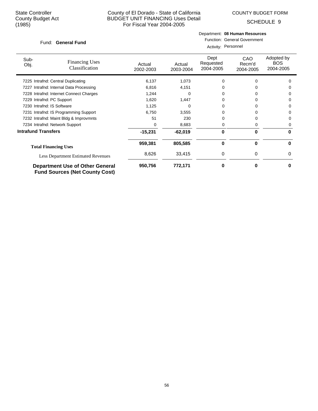COUNTY BUDGET FORM

SCHEDULE 9

### Fund: General Fund

### Department: **08 Human Resources** Function: General Government

Activity: Personnel

| Sub-<br>Obj.               | <b>Financing Uses</b><br>Classification                                         | Actual<br>2002-2003 | Actual<br>2003-2004 | Dept<br>Requested<br>2004-2005 | CAO<br>Recm'd<br>2004-2005 | Adopted by<br><b>BOS</b><br>2004-2005 |
|----------------------------|---------------------------------------------------------------------------------|---------------------|---------------------|--------------------------------|----------------------------|---------------------------------------|
|                            | 7225 Intrafnd: Central Duplicating                                              | 6,137               | 1,073               | 0                              |                            | 0                                     |
|                            | 7227 Intrafnd: Internal Data Processing                                         | 6,816               | 4,151               |                                |                            | O                                     |
|                            | 7228 Intrafnd: Internet Connect Charges                                         | 1,244               | 0                   |                                |                            | 0                                     |
| 7229 Intrafnd: PC Support  |                                                                                 | 1,620               | 1,447               |                                |                            | 0                                     |
| 7230 Intrafnd: IS Software |                                                                                 | 1,125               | 0                   |                                |                            | 0                                     |
|                            | 7231 Intrafnd: IS Programming Support                                           | 6,750               | 3,555               |                                |                            | 0                                     |
|                            | 7232 Intrafnd: Maint Bldg & Improvmnts                                          | 51                  | 230                 |                                |                            | 0                                     |
|                            | 7234 Intrafnd: Network Support                                                  | 0                   | 8,683               | 0                              | 0                          | 0                                     |
| <b>Intrafund Transfers</b> |                                                                                 | $-15,231$           | $-62,019$           | 0                              | 0                          | 0                                     |
|                            | <b>Total Financing Uses</b>                                                     | 959,381             | 805,585             | 0                              | $\bf{0}$                   | 0                                     |
|                            | <b>Less Department Estimated Revenues</b>                                       | 8,626               | 33,415              | 0                              | $\Omega$                   | 0                                     |
|                            | <b>Department Use of Other General</b><br><b>Fund Sources (Net County Cost)</b> | 950,756             | 772,171             | 0                              | 0                          | U                                     |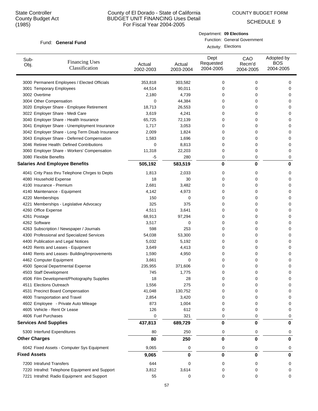# County of El Dorado - State of California BUDGET UNIT FINANCING Uses Detail For Fiscal Year 2004-2005

COUNTY BUDGET FORM

Department: **09 Elections**

Activity: Elections

Function: General Government

SCHEDULE 9

### Fund: General Fund

| Sub-<br>Obj.                          | <b>Financing Uses</b><br>Classification         | Actual<br>2002-2003 | Actual<br>2003-2004 | Dept<br>Requested<br>2004-2005 | CAO<br>Recm'd<br>2004-2005 | Adopted by<br><b>BOS</b><br>2004-2005 |
|---------------------------------------|-------------------------------------------------|---------------------|---------------------|--------------------------------|----------------------------|---------------------------------------|
|                                       | 3000 Permanent Employees / Elected Officials    | 353,818             | 303,582             | 0                              | 0                          | 0                                     |
| 3001 Temporary Employees              |                                                 | 44,514              | 90,011              | 0                              | 0                          | 0                                     |
| 3002 Overtime                         |                                                 | 2,180               | 4,739               | 0                              | 0                          | 0                                     |
| 3004 Other Compensation               |                                                 | 0                   | 44,384              | 0                              | 0                          | 0                                     |
|                                       | 3020 Employer Share - Employee Retirement       | 18,713              | 26,553              | 0                              | 0                          | 0                                     |
| 3022 Employer Share - Medi Care       |                                                 | 3,619               | 4,241               | 0                              | 0                          | 0                                     |
|                                       | 3040 Employer Share - Health Insurance          | 65,725              | 72,139              | 0                              | 0                          | 0                                     |
|                                       | 3041 Employer Share - Unemployment Insurance    | 1,717               | 3,053               | 0                              | 0                          | 0                                     |
|                                       | 3042 Employer Share - Long Term Disab Insurance | 2,009               | 1,824               | 0                              | 0                          | 0                                     |
|                                       | 3043 Employer Share - Deferred Compensation     | 1,583               | 1,696               | 0                              | 0                          | 0                                     |
|                                       | 3046 Retiree Health: Defined Contributions      | 0                   | 8,813               | 0                              | 0                          | 0                                     |
|                                       | 3060 Employer Share - Workers' Compensation     | 11,318              | 22,203              | 0                              | 0                          | 0                                     |
| 3080 Flexible Benefits                |                                                 | $-5$                | 280                 | 0                              | 0                          | 0                                     |
| <b>Salaries And Employee Benefits</b> |                                                 | 505,192             | 583,519             | 0                              | $\bf{0}$                   | 0                                     |
|                                       | 4041 Cnty Pass thru Telephone Chrges to Depts   | 1,813               | 2,033               | 0                              | 0                          | 0                                     |
| 4080 Household Expense                |                                                 | 18                  | 30                  | 0                              | 0                          | 0                                     |
| 4100 Insurance - Premium              |                                                 | 2,681               | 3,482               | 0                              | 0                          | 0                                     |
| 4140 Maintenance - Equipment          |                                                 | 4,142               | 4,973               | 0                              | 0                          | 0                                     |
| 4220 Memberships                      |                                                 | 150                 | 0                   | 0                              | 0                          | 0                                     |
|                                       | 4221 Memberships - Legislative Advocacy         | 325                 | 375                 | 0                              | 0                          | 0                                     |
| 4260 Office Expense                   |                                                 | 4,511               | 3,641               | 0                              | 0                          | 0                                     |
| 4261 Postage                          |                                                 | 68,913              | 97,294              | 0                              | 0                          | 0                                     |
| 4262 Software                         |                                                 | 3,517               | 0                   | 0                              | 0                          | 0                                     |
|                                       | 4263 Subscription / Newspaper / Journals        | 598                 | 253                 | 0                              | 0                          | 0                                     |
|                                       | 4300 Professional and Specialized Services      | 54,038              | 53,300              | 0                              | 0                          | 0                                     |
| 4400 Publication and Legal Notices    |                                                 | 5,032               | 5,192               | 0                              | 0                          | 0                                     |
| 4420 Rents and Leases - Equipment     |                                                 | 3,649               | 4,413               | 0                              | 0                          | 0                                     |
|                                       | 4440 Rents and Leases- Building/Improvements    | 1,590               | 4,950               | 0                              | 0                          | 0                                     |
| 4462 Computer Equipment               |                                                 | 3,661               | 0                   | 0                              | 0                          | 0                                     |
| 4500 Special Departmental Expense     |                                                 | 235,955             | 371,606             | 0                              | 0                          | 0                                     |
| 4503 Staff Development                |                                                 | 745                 | 1,775               | 0                              | 0                          | 0                                     |
|                                       | 4506 Film Development/Photography Supplies      | 18                  | 28                  | 0                              | 0                          | 0                                     |
| 4511 Elections Outreach               |                                                 | 1,556               | 275                 | 0                              | 0                          | 0                                     |
| 4531 Precinct Board Compensation      |                                                 | 41,048              | 130,752             | 0                              | 0                          | 0                                     |
| 4600 Transportation and Travel        |                                                 | 2,854               | 3,420               | 0                              | 0                          | 0                                     |
| 4602 Employee - Private Auto Mileage  |                                                 | 873                 | 1,004               | 0                              | 0                          | 0                                     |
| 4605 Vehicle - Rent Or Lease          |                                                 | 126                 | 612                 | 0                              | 0                          | 0                                     |
| 4606 Fuel Purchases                   |                                                 | 0                   | 321                 | 0                              | 0                          | 0                                     |
| <b>Services And Supplies</b>          |                                                 | 437,813             | 689,729             | 0                              | $\bf{0}$                   | 0                                     |
| 5300 Interfund Expenditures           |                                                 | 80                  | 250                 | 0                              | 0                          | 0                                     |
| <b>Other Charges</b>                  |                                                 | 80                  | 250                 | 0                              | 0                          | 0                                     |
|                                       | 6042 Fixed Assets - Computer Sys Equipment      | 9,065               | 0                   | 0                              | 0                          | 0                                     |
| <b>Fixed Assets</b>                   |                                                 | 9,065               | 0                   | 0                              | 0                          | 0                                     |
| 7200 Intrafund Transfers              |                                                 | 644                 | 0                   | 0                              | 0                          | 0                                     |
|                                       | 7220 Intrafnd: Telephone Equipment and Support  | 3,812               | 3,614               | 0                              | 0                          | 0                                     |
|                                       | 7221 Intrafnd: Radio Equipment and Support      | 55                  | 0                   | 0                              | 0                          | 0                                     |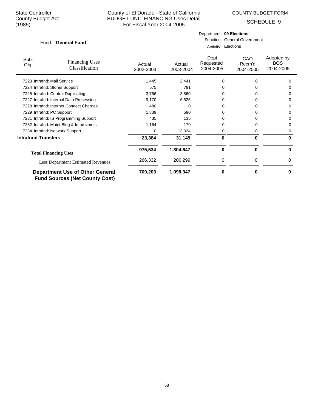COUNTY BUDGET FORM

Department: **09 Elections**

Function: General Government

SCHEDULE 9

### Fund: General Fund

| Funu. Oeneral Funu          |                                                                                 |                     |                     | Activity: Elections            |                                   |                                       |  |
|-----------------------------|---------------------------------------------------------------------------------|---------------------|---------------------|--------------------------------|-----------------------------------|---------------------------------------|--|
| Sub-<br>Obj.                | <b>Financing Uses</b><br>Classification                                         | Actual<br>2002-2003 | Actual<br>2003-2004 | Dept<br>Requested<br>2004-2005 | <b>CAO</b><br>Recm'd<br>2004-2005 | Adopted by<br><b>BOS</b><br>2004-2005 |  |
| 7223 Intrafnd: Mail Service |                                                                                 | 1,445               | 2,441               | 0                              | 0                                 | $\Omega$                              |  |
|                             | 7224 Intrafnd: Stores Support                                                   | 575                 | 791                 | 0                              | O.                                | 0                                     |  |
|                             | 7225 Intrafnd: Central Duplicating                                              | 3,766               | 3,860               | 0                              |                                   | 0                                     |  |
|                             | 7227 Intrafnd: Internal Data Processing                                         | 9,170               | 6,525               |                                |                                   | 0                                     |  |
|                             | 7228 Intrafnd: Internet Connect Charges                                         | 480                 | 0                   | 0                              | 0                                 | 0                                     |  |
| 7229 Intrafnd: PC Support   |                                                                                 | 1,839               | 590                 | 0                              |                                   | 0                                     |  |
|                             | 7231 Intrafnd: IS Programming Support                                           | 435                 | 135                 |                                |                                   | 0                                     |  |
|                             | 7232 Intrafnd: Maint Bldg & Improvmnts                                          | 1,164               | 170                 | 0                              |                                   | 0                                     |  |
|                             | 7234 Intrafnd: Network Support                                                  | 0                   | 13,024              | 0                              | 0                                 | 0                                     |  |
| <b>Intrafund Transfers</b>  |                                                                                 | 23,384              | 31,149              | 0                              | 0                                 | 0                                     |  |
|                             | <b>Total Financing Uses</b>                                                     | 975,534             | 1,304,647           | 0                              | 0                                 | 0                                     |  |
|                             | Less Department Estimated Revenues                                              | 266,332             | 206,299             | 0                              | 0                                 | 0                                     |  |
|                             | <b>Department Use of Other General</b><br><b>Fund Sources (Net County Cost)</b> | 709,203             | 1,098,347           | 0                              | 0                                 | 0                                     |  |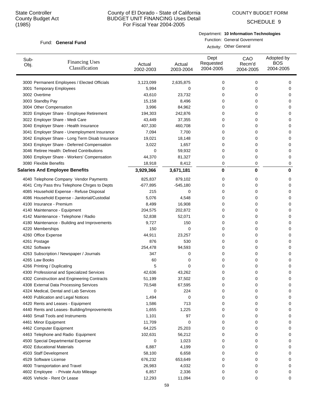COUNTY BUDGET FORM

SCHEDULE 9

### Fund: General Fund

Department: **10 Information Technologies**

Function: General Government Activity: Other General

| Sub-<br>Obj.                | <b>Financing Uses</b><br>Classification         | Actual<br>2002-2003 | Actual<br>2003-2004 | Dept<br>Requested<br>2004-2005 | CAO<br>Recm'd<br>2004-2005 | Adopted by<br><b>BOS</b><br>2004-2005 |
|-----------------------------|-------------------------------------------------|---------------------|---------------------|--------------------------------|----------------------------|---------------------------------------|
|                             | 3000 Permanent Employees / Elected Officials    | 3,123,099           | 2,635,875           | 0                              | 0                          | 0                                     |
|                             | 3001 Temporary Employees                        | 5,994               | 0                   | 0                              | 0                          | 0                                     |
| 3002 Overtime               |                                                 | 43,610              | 23,732              | 0                              | 0                          | 0                                     |
| 3003 Standby Pay            |                                                 | 15,158              | 8,496               | 0                              | 0                          | 0                                     |
| 3004 Other Compensation     |                                                 | 3,996               | 84,962              | 0                              | 0                          | 0                                     |
|                             | 3020 Employer Share - Employee Retirement       | 194,303             | 242,876             | 0                              | 0                          | 0                                     |
|                             | 3022 Employer Share - Medi Care                 | 43,449              | 37,355              | 0                              | 0                          | 0                                     |
|                             | 3040 Employer Share - Health Insurance          | 407,330             | 460,708             | 0                              | 0                          | 0                                     |
|                             | 3041 Employer Share - Unemployment Insurance    | 7,094               | 7,700               | 0                              | 0                          | 0                                     |
|                             | 3042 Employer Share - Long Term Disab Insurance | 19,021              | 18,148              | 0                              | 0                          | 0                                     |
|                             | 3043 Employer Share - Deferred Compensation     | 3,022               | 1,657               | 0                              | 0                          | 0                                     |
|                             | 3046 Retiree Health: Defined Contributions      | 0                   | 59,932              | 0                              | 0                          | 0                                     |
|                             | 3060 Employer Share - Workers' Compensation     | 44,370              | 81,327              | 0                              | 0                          | 0                                     |
| 3080 Flexible Benefits      |                                                 | 18,918              | 8,412               | 0                              | 0                          | 0                                     |
|                             | <b>Salaries And Employee Benefits</b>           | 3,929,366           | 3,671,181           | 0                              | 0                          | 0                                     |
|                             | 4040 Telephone Company Vendor Payments          | 825,837             | 879,102             | 0                              | 0                          | 0                                     |
|                             | 4041 Cnty Pass thru Telephone Chrges to Depts   | $-677,895$          | $-545,180$          | 0                              | 0                          | 0                                     |
|                             | 4085 Household Expense - Refuse Disposal        | 215                 | 0                   | 0                              | 0                          | 0                                     |
|                             | 4086 Household Expense - Janitorial/Custodial   | 5,076               | 4,548               | 0                              | 0                          | 0                                     |
| 4100 Insurance - Premium    |                                                 | 8,499               | 16,908              | 0                              | 0                          | 0                                     |
|                             | 4140 Maintenance - Equipment                    | 204,575             | 202,872             | 0                              | 0                          | 0                                     |
|                             | 4142 Maintenance - Telephone / Radio            | 52,838              | 52,071              | 0                              | 0                          | 0                                     |
|                             | 4180 Maintenance - Building and Improvements    | 9,727               | 150                 | 0                              | 0                          | 0                                     |
| 4220 Memberships            |                                                 | 150                 | $\mathbf 0$         | 0                              | 0                          | 0                                     |
| 4260 Office Expense         |                                                 | 44,911              | 23,257              | 0                              | 0                          | 0                                     |
| 4261 Postage                |                                                 | 876                 | 530                 | 0                              | 0                          | 0                                     |
| 4262 Software               |                                                 | 254,478             | 94,593              | 0                              | 0                          | 0                                     |
|                             | 4263 Subscription / Newspaper / Journals        | 347                 | 0                   | 0                              | 0                          | 0                                     |
| 4265 Law Books              |                                                 | 60                  | 0                   | 0                              | 0                          | 0                                     |
| 4266 Printing / Duplicating |                                                 | 5                   | 0                   | 0                              | 0                          | 0                                     |
|                             | 4300 Professional and Specialized Services      | 42,636              | 43,262              | 0                              | 0                          | 0                                     |
|                             | 4302 Construction and Engineering Contracts     | 51,199              | 37,502              | 0                              | 0                          | 0                                     |
|                             | 4308 External Data Processing Services          | 70,548              | 67,595              | 0                              | 0                          | 0                                     |
|                             | 4324 Medical, Dental and Lab Services           | 0                   | 224                 | 0                              | 0                          | 0                                     |
|                             | 4400 Publication and Legal Notices              | 1,494               | 0                   | 0                              | 0                          | 0                                     |
|                             | 4420 Rents and Leases - Equipment               | 1,586               | 713                 | 0                              | 0                          | 0                                     |
|                             | 4440 Rents and Leases- Building/Improvements    | 1,655               | 1,225               | 0                              | 0                          | 0                                     |
|                             | 4460 Small Tools and Instruments                | 1,101               | 97                  | 0                              | 0                          | 0                                     |
| 4461 Minor Equipment        |                                                 | 11,709              | 0                   | 0                              | 0                          | 0                                     |
| 4462 Computer Equipment     |                                                 | 64,225              | 25,203              | 0                              | 0                          | 0                                     |
|                             |                                                 |                     |                     | 0                              | 0                          |                                       |
|                             | 4463 Telephone and Radio Equipment              | 102,631             | 56,212              |                                | 0                          | 0                                     |
| 4502 Educational Materials  | 4500 Special Departmental Expense               | 0                   | 1,023               | 0                              |                            | 0                                     |
|                             |                                                 | 6,887               | 4,199               | 0                              | 0                          | 0                                     |
| 4503 Staff Development      |                                                 | 58,100              | 6,658               | 0                              | 0                          | 0                                     |
| 4529 Software License       |                                                 | 676,232             | 653,649             | 0                              | 0                          | 0                                     |
|                             | 4600 Transportation and Travel                  | 26,983              | 4,032               | 0                              | 0                          | 0                                     |
|                             | 4602 Employee - Private Auto Mileage            | 6,857               | 2,336               | 0                              | 0                          | 0                                     |
|                             | 4605 Vehicle - Rent Or Lease                    | 12,293              | 11,094              | 0                              | 0                          | 0                                     |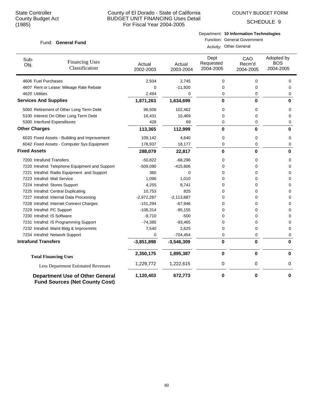COUNTY BUDGET FORM

SCHEDULE 9

### Fund: General Fund

# Department: **10 Information Technologies**

Function: General Government Activity: Other General

| Sub-<br>Obj.                 | <b>Financing Uses</b><br>Classification                                         | Actual<br>2002-2003 | Actual<br>2003-2004 | Dept<br>Requested<br>2004-2005 | CAO<br>Recm'd<br>2004-2005 | Adopted by<br><b>BOS</b><br>2004-2005 |
|------------------------------|---------------------------------------------------------------------------------|---------------------|---------------------|--------------------------------|----------------------------|---------------------------------------|
| 4606 Fuel Purchases          |                                                                                 | 2,934               | 2,745               | 0                              | 0                          | 0                                     |
|                              | 4607 Rent or Lease: Mileage Rate Rebate                                         | 0                   | $-11,920$           | 0                              | $\mathbf 0$                | 0                                     |
| 4620 Utilities               |                                                                                 | 2,494               | 0                   | 0                              | $\mathbf 0$                | 0                                     |
| <b>Services And Supplies</b> |                                                                                 | 1,871,263           | 1,634,699           | 0                              | 0                          | 0                                     |
|                              | 5060 Retirement of Other Long Term Debt                                         | 96,506              | 102,462             | 0                              | 0                          | $\mathbf 0$                           |
|                              | 5100 Interest On Other Long Term Debt                                           | 16,431              | 10,469              | 0                              | $\mathbf 0$                | $\mathbf 0$                           |
|                              | 5300 Interfund Expenditures                                                     | 428                 | 69                  | 0                              | $\mathbf 0$                | $\mathbf 0$                           |
| <b>Other Charges</b>         |                                                                                 | 113,365             | 112,999             | 0                              | $\bf{0}$                   | $\bf{0}$                              |
|                              | 6020 Fixed Assets - Building and Improvement                                    | 109,142             | 4,640               | 0                              | 0                          | 0                                     |
|                              | 6042 Fixed Assets - Computer Sys Equipment                                      | 178,937             | 18,177              | 0                              | 0                          | $\mathbf 0$                           |
| <b>Fixed Assets</b>          |                                                                                 | 288,079             | 22,817              | 0                              | $\bf{0}$                   | $\bf{0}$                              |
| 7200 Intrafund Transfers     |                                                                                 | $-50,822$           | $-68,296$           | 0                              | 0                          | 0                                     |
|                              | 7220 Intrafnd: Telephone Equipment and Support                                  | $-509,090$          | $-415,806$          | 0                              | $\mathbf 0$                | 0                                     |
|                              | 7221 Intrafnd: Radio Equipment and Support                                      | 360                 | $\Omega$            | 0                              | $\mathbf 0$                | $\mathbf 0$                           |
| 7223 Intrafnd: Mail Service  |                                                                                 | 1,096               | 1,010               | 0                              | $\mathbf 0$                | $\mathbf 0$                           |
|                              | 7224 Intrafnd: Stores Support                                                   | 4,255               | 8,741               | 0                              | 0                          | 0                                     |
|                              | 7225 Intrafnd: Central Duplicating                                              | 10,753              | 825                 | 0                              | $\mathbf 0$                | $\mathbf 0$                           |
|                              | 7227 Intrafnd: Internal Data Processing                                         | $-2,972,287$        | $-2,113,887$        | 0                              | $\mathbf 0$                | 0                                     |
|                              | 7228 Intrafnd: Internet Connect Charges                                         | $-151,294$          | $-67,946$           | 0                              | $\mathbf 0$                | 0                                     |
| 7229 Intrafnd: PC Support    |                                                                                 | $-108,314$          | $-95, 155$          | 0                              | $\mathbf 0$                | 0                                     |
| 7230 Intrafnd: IS Software   |                                                                                 | $-9,710$            | $-500$              | 0                              | $\mathbf 0$                | 0                                     |
|                              | 7231 Intrafnd: IS Programming Support                                           | $-74,385$           | $-93,465$           | 0                              | $\mathbf 0$                | 0                                     |
|                              | 7232 Intrafnd: Maint Bldg & Improvmnts                                          | 7,540               | 2,625               | $\Omega$                       | $\mathbf 0$                | $\Omega$                              |
|                              | 7234 Intrafnd: Network Support                                                  | 0                   | $-704,454$          | 0                              | 0                          | 0                                     |
| <b>Intrafund Transfers</b>   |                                                                                 | $-3,851,898$        | $-3,546,309$        | 0                              | $\bf{0}$                   | $\bf{0}$                              |
|                              | <b>Total Financing Uses</b>                                                     | 2,350,175           | 1,895,387           | $\bf{0}$                       | 0                          | $\bf{0}$                              |
|                              | Less Department Estimated Revenues                                              | 1,229,772           | 1,222,615           | 0                              | 0                          | 0                                     |
|                              | <b>Department Use of Other General</b><br><b>Fund Sources (Net County Cost)</b> | 1,120,403           | 672,773             | 0                              | 0                          | 0                                     |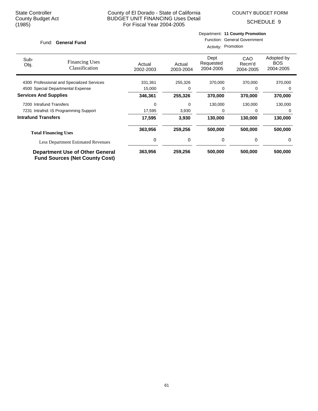COUNTY BUDGET FORM

SCHEDULE 9

### Fund: General Fund

## Department: **11 County Promotion** Function: General Government

Activity: Promotion

| Sub-<br>Obj.                 | <b>Financing Uses</b><br>Classification                                         | Actual<br>2002-2003 | Actual<br>2003-2004 | Dept<br>Requested<br>2004-2005 | CAO<br>Recm'd<br>2004-2005 | Adopted by<br><b>BOS</b><br>2004-2005 |
|------------------------------|---------------------------------------------------------------------------------|---------------------|---------------------|--------------------------------|----------------------------|---------------------------------------|
|                              | 4300 Professional and Specialized Services                                      | 331,361             | 255,326             | 370,000                        | 370,000                    | 370,000                               |
|                              | 4500 Special Departmental Expense                                               | 15,000              | 0                   | 0                              | 0                          | 0                                     |
| <b>Services And Supplies</b> |                                                                                 | 346,361             | 255,326             | 370,000                        | 370,000                    | 370,000                               |
| 7200 Intrafund Transfers     |                                                                                 | 0                   | 0                   | 130,000                        | 130,000                    | 130,000                               |
|                              | 7231 Intrafnd: IS Programming Support                                           | 17,595              | 3,930               | 0                              | O                          | 0                                     |
| <b>Intrafund Transfers</b>   |                                                                                 | 17,595              | 3,930               | 130,000                        | 130,000                    | 130,000                               |
|                              | <b>Total Financing Uses</b>                                                     | 363,956             | 259,256             | 500,000                        | 500,000                    | 500,000                               |
|                              | <b>Less Department Estimated Revenues</b>                                       | 0                   | 0                   | 0                              | 0                          | 0                                     |
|                              | <b>Department Use of Other General</b><br><b>Fund Sources (Net County Cost)</b> | 363,956             | 259,256             | 500,000                        | 500,000                    | 500,000                               |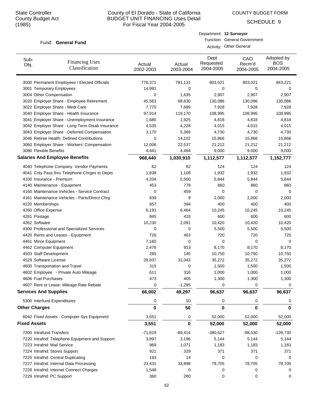COUNTY BUDGET FORM

SCHEDULE 9

### Fund: General Fund

| Department: 12 Surveyor             |
|-------------------------------------|
| <b>Function: General Government</b> |
| Activity: Other General             |
|                                     |

| Sub-<br>Obj.                 | <b>Financing Uses</b><br>Classification         | Actual<br>2002-2003 | Actual<br>2003-2004 | Dept<br>Requested<br>2004-2005 | CAO<br>Recm'd<br>2004-2005 | Adopted by<br><b>BOS</b><br>2004-2005 |
|------------------------------|-------------------------------------------------|---------------------|---------------------|--------------------------------|----------------------------|---------------------------------------|
|                              | 3000 Permanent Employees / Elected Officials    | 776,371             | 781,131             | 803,021                        | 803,021                    | 843,221                               |
|                              | 3001 Temporary Employees                        | 14,991              | 0                   | 0                              | 0                          | 0                                     |
|                              | 3004 Other Compensation                         | 0                   | 1,635               | 2,907                          | 2,907                      | 2,907                                 |
|                              | 3020 Employer Share - Employee Retirement       | 45,563              | 68,630              | 130,086                        | 130,086                    | 130,086                               |
|                              | 3022 Employer Share - Medi Care                 | 7,770               | 7,689               | 7,928                          | 7,928                      | 7,928                                 |
|                              | 3040 Employer Share - Health Insurance          | 97,914              | 119,170             | 108,995                        | 108,995                    | 108,995                               |
|                              | 3041 Employer Share - Unemployment Insurance    | 1,680               | 1,925               | 4,818                          | 4,818                      | 4,818                                 |
|                              | 3042 Employer Share - Long Term Disab Insurance | 4,535               | 4,228               | 4,015                          | 4,015                      | 4,015                                 |
|                              | 3043 Employer Share - Deferred Compensation     | 3,170               | 5,369               | 4,730                          | 4,730                      | 4,730                                 |
|                              | 3046 Retiree Health: Defined Contributions      | 0                   | 14,102              | 15,866                         | 15,866                     | 15,866                                |
|                              | 3060 Employer Share - Workers' Compensation     | 12,006              | 22,537              | 21,212                         | 21,212                     | 21,212                                |
|                              | 3080 Flexible Benefits                          | 4,441               | 4,494               | 9,000                          | 9,000                      | 9,000                                 |
|                              | <b>Salaries And Employee Benefits</b>           | 968,440             | 1,030,910           | 1,112,577                      | 1,112,577                  | 1,152,777                             |
|                              | 4040 Telephone Company Vendor Payments          | 62                  | 62                  | 124                            | 124                        | 124                                   |
|                              | 4041 Cnty Pass thru Telephone Chrges to Depts   | 1,838               | 1,108               | 1,932                          | 1,932                      | 1,932                                 |
|                              | 4100 Insurance - Premium                        | 4,204               | 5,500               | 5,844                          | 5,844                      | 5,844                                 |
|                              | 4140 Maintenance - Equipment                    | 453                 | 778                 | 860                            | 860                        | 860                                   |
|                              | 4160 Maintenance Vehicles - Service Contract    | 0                   | 459                 | 0                              | $\mathbf 0$                | 0                                     |
|                              | 4161 Maintenance Vehicles - Parts/Direct Chrg   | 639                 | 9                   | 2,000                          | 2,000                      | 2,000                                 |
|                              | 4220 Memberships                                | 657                 | 394                 | 400                            | 400                        | 400                                   |
|                              | 4260 Office Expense                             | 6,191               | 6,464               | 10,245                         | 10,245                     | 10,245                                |
|                              | 4261 Postage                                    | 845                 | 433                 | 600                            | 600                        | 600                                   |
|                              | 4262 Software                                   | 10,230              | 2,091               | 10,420                         | 10,420                     | 10,420                                |
|                              | 4300 Professional and Specialized Services      | 0                   | 0                   | 5,500                          | 5,500                      | 5,500                                 |
|                              | 4420 Rents and Leases - Equipment               | 726                 | 463                 | 720                            | 720                        | 720                                   |
|                              | 4461 Minor Equipment                            | 7,160               | 0                   | 0                              | $\mathbf 0$                | 0                                     |
|                              | 4462 Computer Equipment                         | 2,476               | 913                 | 8,170                          | 8,170                      | 8,170                                 |
|                              | 4503 Staff Development                          | 285                 | 145                 | 10,750                         | 10,750                     | 10,750                                |
|                              | 4529 Software License                           | 28,837              | 31,043              | 35,272                         | 35,272                     | 35,272                                |
|                              | 4600 Transportation and Travel                  | 315                 | 0                   | 1,500                          | 1,500                      | 1,500                                 |
|                              | 4602 Employee - Private Auto Mileage            | 611                 | 316                 | 1,000                          | 1,000                      | 1,000                                 |
|                              | 4606 Fuel Purchases                             | 473                 | 405                 | 1,300                          | 1,300                      | 1,300                                 |
|                              | 4607 Rent or Lease: Mileage Rate Rebate         | 0                   | $-1,285$            | 0                              | 0                          | 0                                     |
| <b>Services And Supplies</b> |                                                 | 66,002              | 49,297              | 96,637                         | 96,637                     | 96,637                                |
|                              | 5300 Interfund Expenditures                     | 0                   | 50                  | 0                              | 0                          | 0                                     |
|                              | <b>Other Charges</b>                            | 0                   | 50                  | 0                              | 0                          | 0                                     |
|                              | 6042 Fixed Assets - Computer Sys Equipment      | 3,551               | 0                   | 52,000                         | 52,000                     | 52,000                                |
| <b>Fixed Assets</b>          |                                                 | 3,551               | 0                   | 52,000                         | 52,000                     | 52,000                                |
|                              | 7200 Intrafund Transfers                        | $-71,819$           | $-89,414$           | $-380,627$                     | $-88,530$                  | $-128,730$                            |
|                              | 7220 Intrafnd: Telephone Equipment and Support  | 3,897               | 3,196               | 5,144                          | 5,144                      | 5,144                                 |
|                              | 7223 Intrafnd: Mail Service                     | 969                 | 1,071               | 1,183                          | 1,183                      | 1,183                                 |
|                              | 7224 Intrafnd: Stores Support                   | 921                 | 329                 | 371                            | 371                        | 371                                   |
|                              | 7225 Intrafnd: Central Duplicating              | 193                 | 14                  | 0                              | 0                          | 0                                     |
|                              | 7227 Intrafnd: Internal Data Processing         | 23,431              | 33,898              | 78,705                         | 78,705                     | 78,705                                |
|                              | 7228 Intrafnd: Internet Connect Charges         | 1,548               | 0                   | 0                              | 0                          | 0                                     |
|                              | 7229 Intrafnd: PC Support                       | 360                 | 280                 | 0                              | 0                          | 0                                     |